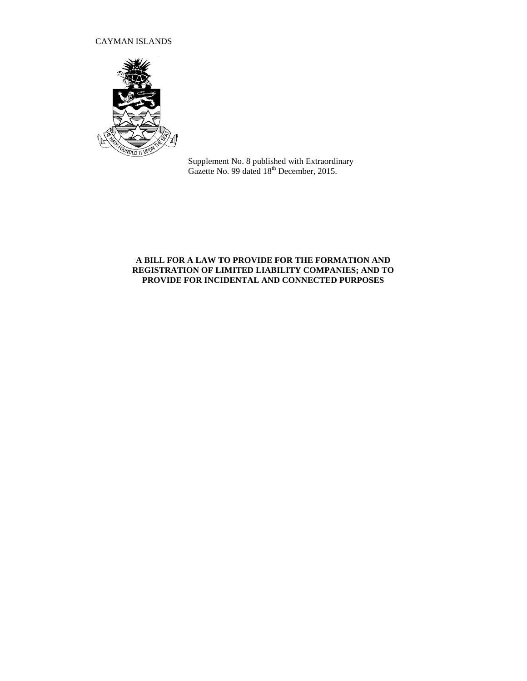## CAYMAN ISLANDS



Supplement No. 8 published with Extraordinary Gazette No. 99 dated  $18<sup>th</sup>$  December, 2015.

## **A BILL FOR A LAW TO PROVIDE FOR THE FORMATION AND REGISTRATION OF LIMITED LIABILITY COMPANIES; AND TO PROVIDE FOR INCIDENTAL AND CONNECTED PURPOSES**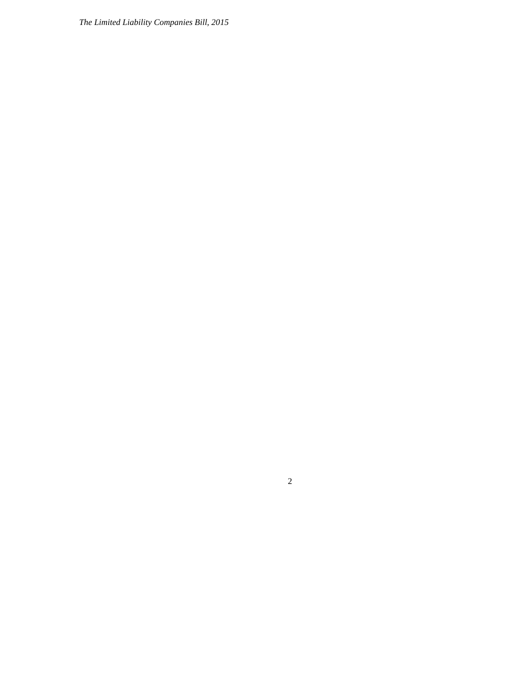*The Limited Liability Companies Bill, 2015*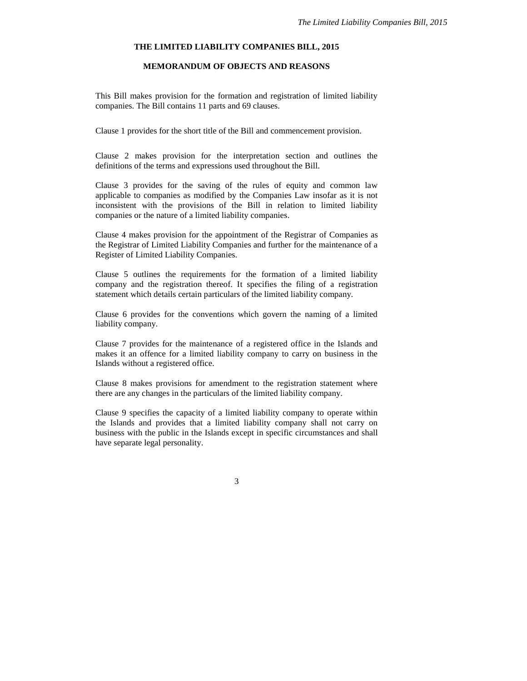### **THE LIMITED LIABILITY COMPANIES BILL, 2015**

#### **MEMORANDUM OF OBJECTS AND REASONS**

This Bill makes provision for the formation and registration of limited liability companies. The Bill contains 11 parts and 69 clauses.

Clause 1 provides for the short title of the Bill and commencement provision.

Clause 2 makes provision for the interpretation section and outlines the definitions of the terms and expressions used throughout the Bill.

Clause 3 provides for the saving of the rules of equity and common law applicable to companies as modified by the Companies Law insofar as it is not inconsistent with the provisions of the Bill in relation to limited liability companies or the nature of a limited liability companies.

Clause 4 makes provision for the appointment of the Registrar of Companies as the Registrar of Limited Liability Companies and further for the maintenance of a Register of Limited Liability Companies.

Clause 5 outlines the requirements for the formation of a limited liability company and the registration thereof. It specifies the filing of a registration statement which details certain particulars of the limited liability company.

Clause 6 provides for the conventions which govern the naming of a limited liability company.

Clause 7 provides for the maintenance of a registered office in the Islands and makes it an offence for a limited liability company to carry on business in the Islands without a registered office.

Clause 8 makes provisions for amendment to the registration statement where there are any changes in the particulars of the limited liability company.

Clause 9 specifies the capacity of a limited liability company to operate within the Islands and provides that a limited liability company shall not carry on business with the public in the Islands except in specific circumstances and shall have separate legal personality.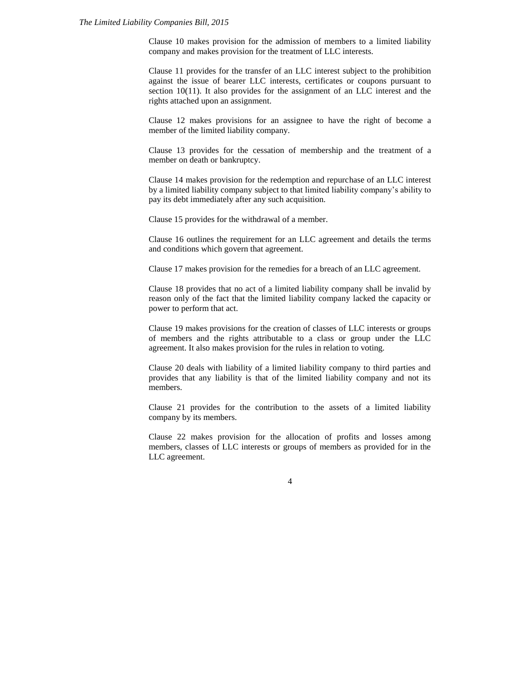#### *The Limited Liability Companies Bill, 2015*

Clause 10 makes provision for the admission of members to a limited liability company and makes provision for the treatment of LLC interests.

Clause 11 provides for the transfer of an LLC interest subject to the prohibition against the issue of bearer LLC interests, certificates or coupons pursuant to section 10(11). It also provides for the assignment of an LLC interest and the rights attached upon an assignment.

Clause 12 makes provisions for an assignee to have the right of become a member of the limited liability company.

Clause 13 provides for the cessation of membership and the treatment of a member on death or bankruptcy.

Clause 14 makes provision for the redemption and repurchase of an LLC interest by a limited liability company subject to that limited liability company's ability to pay its debt immediately after any such acquisition.

Clause 15 provides for the withdrawal of a member.

Clause 16 outlines the requirement for an LLC agreement and details the terms and conditions which govern that agreement.

Clause 17 makes provision for the remedies for a breach of an LLC agreement.

Clause 18 provides that no act of a limited liability company shall be invalid by reason only of the fact that the limited liability company lacked the capacity or power to perform that act.

Clause 19 makes provisions for the creation of classes of LLC interests or groups of members and the rights attributable to a class or group under the LLC agreement. It also makes provision for the rules in relation to voting.

Clause 20 deals with liability of a limited liability company to third parties and provides that any liability is that of the limited liability company and not its members.

Clause 21 provides for the contribution to the assets of a limited liability company by its members.

Clause 22 makes provision for the allocation of profits and losses among members, classes of LLC interests or groups of members as provided for in the LLC agreement.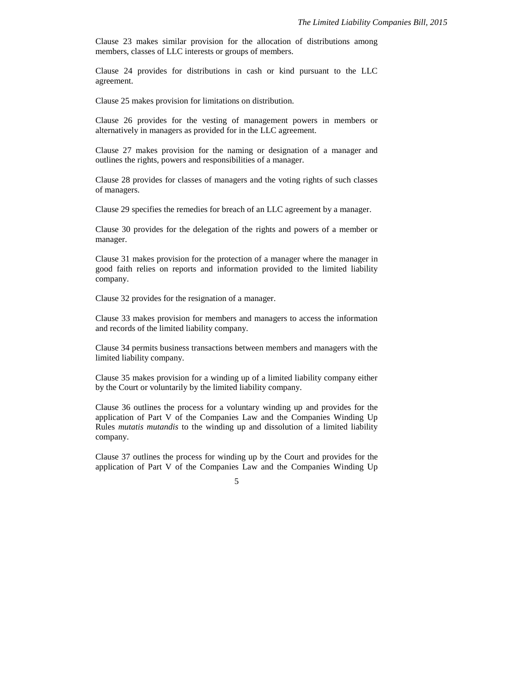Clause 23 makes similar provision for the allocation of distributions among members, classes of LLC interests or groups of members.

Clause 24 provides for distributions in cash or kind pursuant to the LLC agreement.

Clause 25 makes provision for limitations on distribution.

Clause 26 provides for the vesting of management powers in members or alternatively in managers as provided for in the LLC agreement.

Clause 27 makes provision for the naming or designation of a manager and outlines the rights, powers and responsibilities of a manager.

Clause 28 provides for classes of managers and the voting rights of such classes of managers.

Clause 29 specifies the remedies for breach of an LLC agreement by a manager.

Clause 30 provides for the delegation of the rights and powers of a member or manager.

Clause 31 makes provision for the protection of a manager where the manager in good faith relies on reports and information provided to the limited liability company.

Clause 32 provides for the resignation of a manager.

Clause 33 makes provision for members and managers to access the information and records of the limited liability company.

Clause 34 permits business transactions between members and managers with the limited liability company.

Clause 35 makes provision for a winding up of a limited liability company either by the Court or voluntarily by the limited liability company.

Clause 36 outlines the process for a voluntary winding up and provides for the application of Part V of the Companies Law and the Companies Winding Up Rules *mutatis mutandis* to the winding up and dissolution of a limited liability company.

Clause 37 outlines the process for winding up by the Court and provides for the application of Part V of the Companies Law and the Companies Winding Up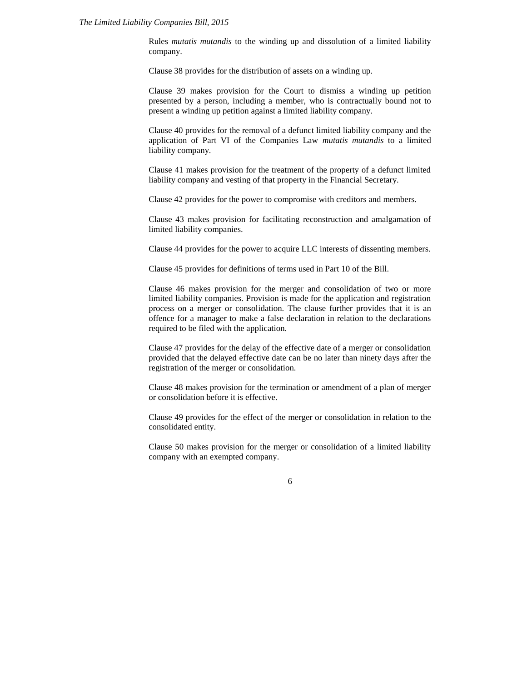Rules *mutatis mutandis* to the winding up and dissolution of a limited liability company.

Clause 38 provides for the distribution of assets on a winding up.

Clause 39 makes provision for the Court to dismiss a winding up petition presented by a person, including a member, who is contractually bound not to present a winding up petition against a limited liability company.

Clause 40 provides for the removal of a defunct limited liability company and the application of Part VI of the Companies Law *mutatis mutandis* to a limited liability company.

Clause 41 makes provision for the treatment of the property of a defunct limited liability company and vesting of that property in the Financial Secretary.

Clause 42 provides for the power to compromise with creditors and members.

Clause 43 makes provision for facilitating reconstruction and amalgamation of limited liability companies.

Clause 44 provides for the power to acquire LLC interests of dissenting members.

Clause 45 provides for definitions of terms used in Part 10 of the Bill.

Clause 46 makes provision for the merger and consolidation of two or more limited liability companies. Provision is made for the application and registration process on a merger or consolidation. The clause further provides that it is an offence for a manager to make a false declaration in relation to the declarations required to be filed with the application.

Clause 47 provides for the delay of the effective date of a merger or consolidation provided that the delayed effective date can be no later than ninety days after the registration of the merger or consolidation.

Clause 48 makes provision for the termination or amendment of a plan of merger or consolidation before it is effective.

Clause 49 provides for the effect of the merger or consolidation in relation to the consolidated entity.

Clause 50 makes provision for the merger or consolidation of a limited liability company with an exempted company.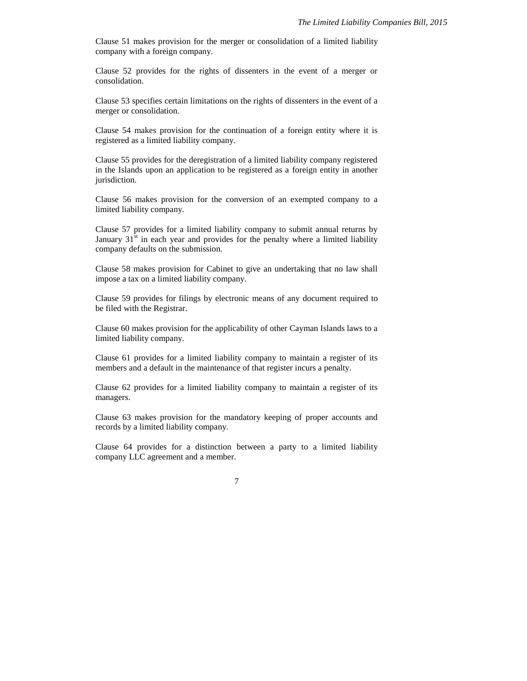Clause 51 makes provision for the merger or consolidation of a limited liability company with a foreign company.

Clause 52 provides for the rights of dissenters in the event of a merger or consolidation.

Clause 53 specifies certain limitations on the rights of dissenters in the event of a merger or consolidation.

Clause 54 makes provision for the continuation of a foreign entity where it is registered as a limited liability company.

Clause 55 provides for the deregistration of a limited liability company registered in the Islands upon an application to be registered as a foreign entity in another jurisdiction.

Clause 56 makes provision for the conversion of an exempted company to a limited liability company.

Clause 57 provides for a limited liability company to submit annual returns by January  $31<sup>st</sup>$  in each year and provides for the penalty where a limited liability company defaults on the submission.

Clause 58 makes provision for Cabinet to give an undertaking that no law shall impose a tax on a limited liability company.

Clause 59 provides for filings by electronic means of any document required to be filed with the Registrar.

Clause 60 makes provision for the applicability of other Cayman Islands laws to a limited liability company.

Clause 61 provides for a limited liability company to maintain a register of its members and a default in the maintenance of that register incurs a penalty.

Clause 62 provides for a limited liability company to maintain a register of its managers.

Clause 63 makes provision for the mandatory keeping of proper accounts and records by a limited liability company.

Clause 64 provides for a distinction between a party to a limited liability company LLC agreement and a member.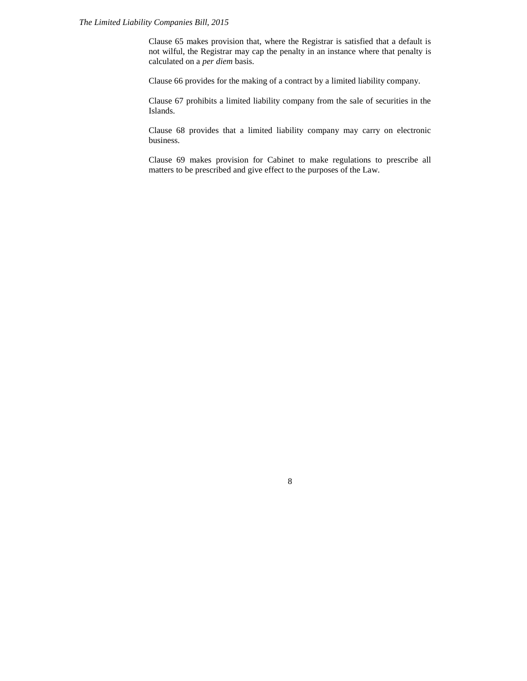#### *The Limited Liability Companies Bill, 2015*

Clause 65 makes provision that, where the Registrar is satisfied that a default is not wilful, the Registrar may cap the penalty in an instance where that penalty is calculated on a *per diem* basis.

Clause 66 provides for the making of a contract by a limited liability company.

Clause 67 prohibits a limited liability company from the sale of securities in the Islands.

Clause 68 provides that a limited liability company may carry on electronic business.

Clause 69 makes provision for Cabinet to make regulations to prescribe all matters to be prescribed and give effect to the purposes of the Law.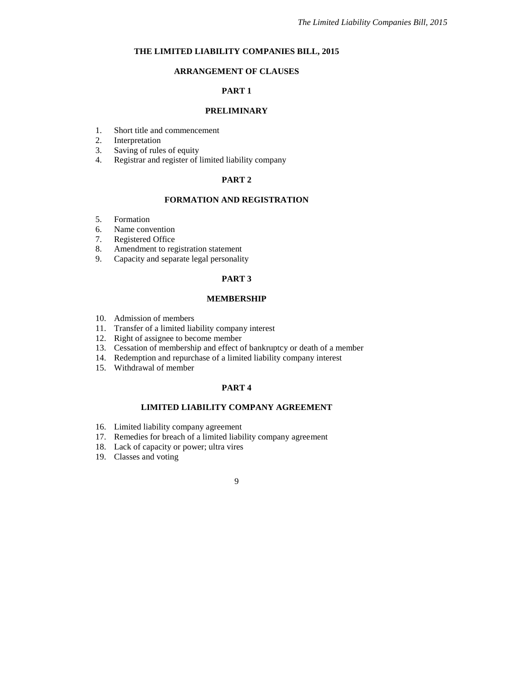### **THE LIMITED LIABILITY COMPANIES BILL, 2015**

## **ARRANGEMENT OF CLAUSES**

## **PART 1**

## **PRELIMINARY**

- 1. Short title and commencement
- 2. Interpretation
- 3. Saving of rules of equity
- 4. Registrar and register of limited liability company

## **PART 2**

## **FORMATION AND REGISTRATION**

- 5. Formation
- 6. Name convention
- 7. Registered Office
- 8. Amendment to registration statement
- 9. Capacity and separate legal personality

### **PART 3**

### **MEMBERSHIP**

- 10. Admission of members
- 11. Transfer of a limited liability company interest
- 12. Right of assignee to become member
- 13. Cessation of membership and effect of bankruptcy or death of a member
- 14. Redemption and repurchase of a limited liability company interest
- 15. Withdrawal of member

#### **PART 4**

## **LIMITED LIABILITY COMPANY AGREEMENT**

- 16. Limited liability company agreement
- 17. Remedies for breach of a limited liability company agreement
- 18. Lack of capacity or power; ultra vires
- 19. Classes and voting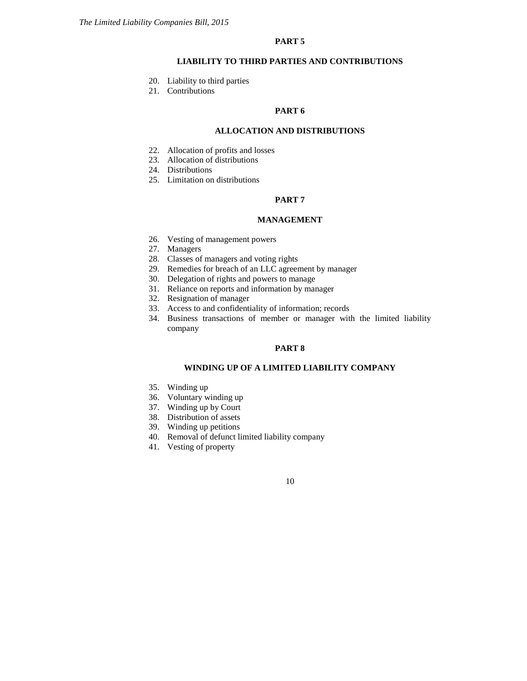## **PART 5**

## **LIABILITY TO THIRD PARTIES AND CONTRIBUTIONS**

- 20. Liability to third parties
- 21. Contributions

## **PART 6**

## **ALLOCATION AND DISTRIBUTIONS**

- 22. Allocation of profits and losses
- 23. Allocation of distributions
- 24. Distributions
- 25. Limitation on distributions

## **PART 7**

#### **MANAGEMENT**

- 26. Vesting of management powers
- 27. Managers
- 28. Classes of managers and voting rights
- 29. Remedies for breach of an LLC agreement by manager
- 30. Delegation of rights and powers to manage
- 31. Reliance on reports and information by manager
- 32. Resignation of manager
- 33. Access to and confidentiality of information; records
- 34. Business transactions of member or manager with the limited liability company

### **PART 8**

### **WINDING UP OF A LIMITED LIABILITY COMPANY**

- 35. Winding up
- 36. Voluntary winding up
- 37. Winding up by Court
- 38. Distribution of assets
- 39. Winding up petitions
- 40. Removal of defunct limited liability company
- 41. Vesting of property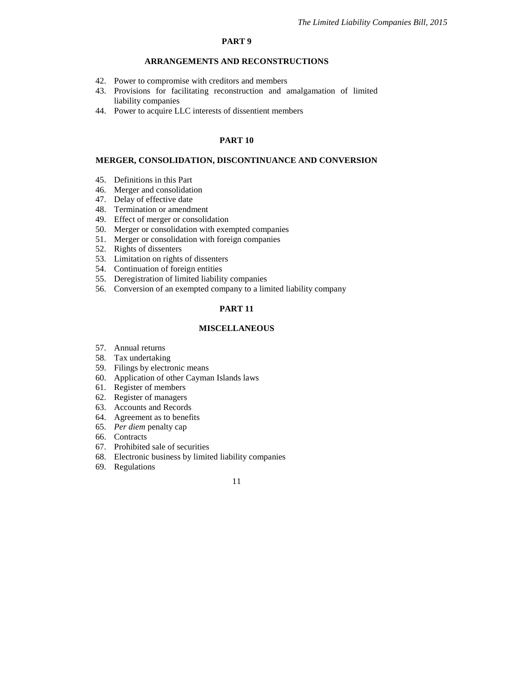## **PART 9**

## **ARRANGEMENTS AND RECONSTRUCTIONS**

- 42. Power to compromise with creditors and members
- 43. Provisions for facilitating reconstruction and amalgamation of limited liability companies
- 44. Power to acquire LLC interests of dissentient members

#### **PART 10**

#### **MERGER, CONSOLIDATION, DISCONTINUANCE AND CONVERSION**

- 45. Definitions in this Part
- 46. Merger and consolidation
- 47. Delay of effective date
- 48. Termination or amendment
- 49. Effect of merger or consolidation
- 50. Merger or consolidation with exempted companies
- 51. Merger or consolidation with foreign companies
- 52. Rights of dissenters
- 53. Limitation on rights of dissenters
- 54. Continuation of foreign entities
- 55. Deregistration of limited liability companies
- 56. Conversion of an exempted company to a limited liability company

### **PART 11**

### **MISCELLANEOUS**

- 57. Annual returns
- 58. Tax undertaking
- 59. Filings by electronic means
- 60. Application of other Cayman Islands laws
- 61. Register of members
- 62. Register of managers
- 63. Accounts and Records
- 64. Agreement as to benefits
- 65. *Per diem* penalty cap
- 66. Contracts
- 67. Prohibited sale of securities
- 68. Electronic business by limited liability companies
- 69. Regulations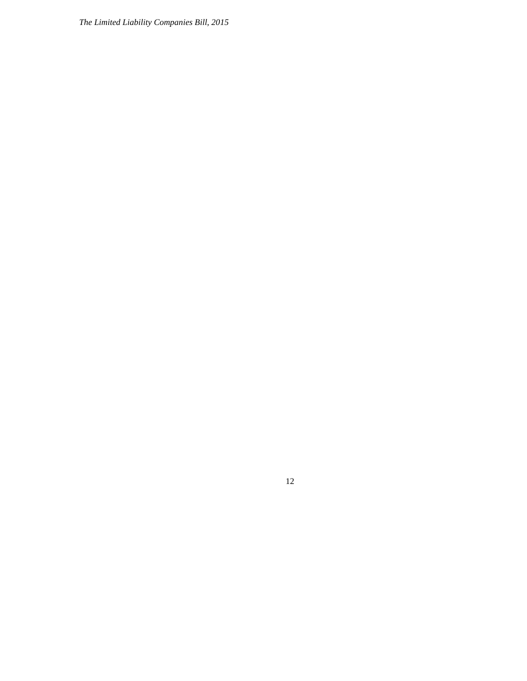*The Limited Liability Companies Bill, 2015*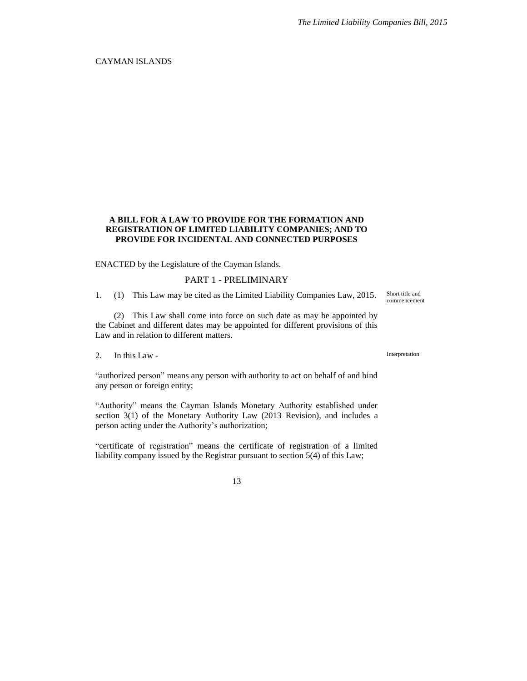### CAYMAN ISLANDS

## **A BILL FOR A LAW TO PROVIDE FOR THE FORMATION AND REGISTRATION OF LIMITED LIABILITY COMPANIES; AND TO PROVIDE FOR INCIDENTAL AND CONNECTED PURPOSES**

ENACTED by the Legislature of the Cayman Islands.

## PART 1 - PRELIMINARY

1. (1) This Law may be cited as the Limited Liability Companies Law, 2015. Short title and

(2) This Law shall come into force on such date as may be appointed by the Cabinet and different dates may be appointed for different provisions of this Law and in relation to different matters.

2. In this Law -

"authorized person" means any person with authority to act on behalf of and bind any person or foreign entity;

"Authority" means the Cayman Islands Monetary Authority established under section 3(1) of the Monetary Authority Law (2013 Revision), and includes a person acting under the Authority's authorization;

"certificate of registration" means the certificate of registration of a limited liability company issued by the Registrar pursuant to section 5(4) of this Law;

13

Interpretation

commencement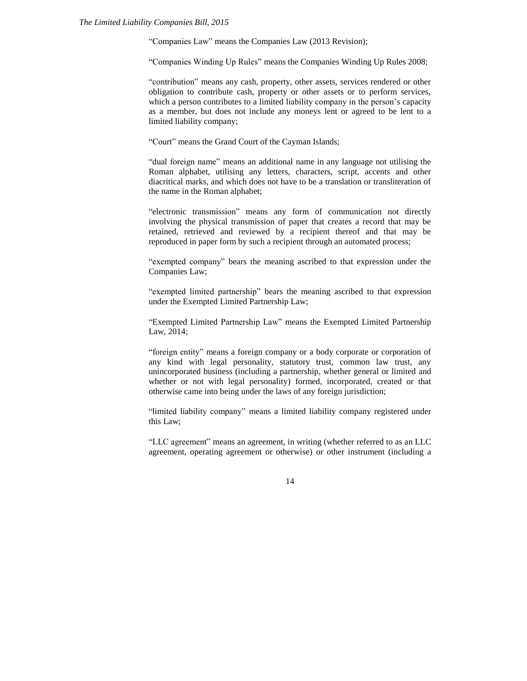"Companies Law" means the Companies Law (2013 Revision);

"Companies Winding Up Rules" means the Companies Winding Up Rules 2008;

"contribution" means any cash, property, other assets, services rendered or other obligation to contribute cash, property or other assets or to perform services, which a person contributes to a limited liability company in the person's capacity as a member, but does not include any moneys lent or agreed to be lent to a limited liability company;

"Court" means the Grand Court of the Cayman Islands;

"dual foreign name" means an additional name in any language not utilising the Roman alphabet, utilising any letters, characters, script, accents and other diacritical marks, and which does not have to be a translation or transliteration of the name in the Roman alphabet;

"electronic transmission" means any form of communication not directly involving the physical transmission of paper that creates a record that may be retained, retrieved and reviewed by a recipient thereof and that may be reproduced in paper form by such a recipient through an automated process;

"exempted company" bears the meaning ascribed to that expression under the Companies Law;

"exempted limited partnership" bears the meaning ascribed to that expression under the Exempted Limited Partnership Law;

"Exempted Limited Partnership Law" means the Exempted Limited Partnership Law, 2014;

"foreign entity" means a foreign company or a body corporate or corporation of any kind with legal personality, statutory trust, common law trust, any unincorporated business (including a partnership, whether general or limited and whether or not with legal personality) formed, incorporated, created or that otherwise came into being under the laws of any foreign jurisdiction;

"limited liability company" means a limited liability company registered under this Law;

"LLC agreement" means an agreement, in writing (whether referred to as an LLC agreement, operating agreement or otherwise) or other instrument (including a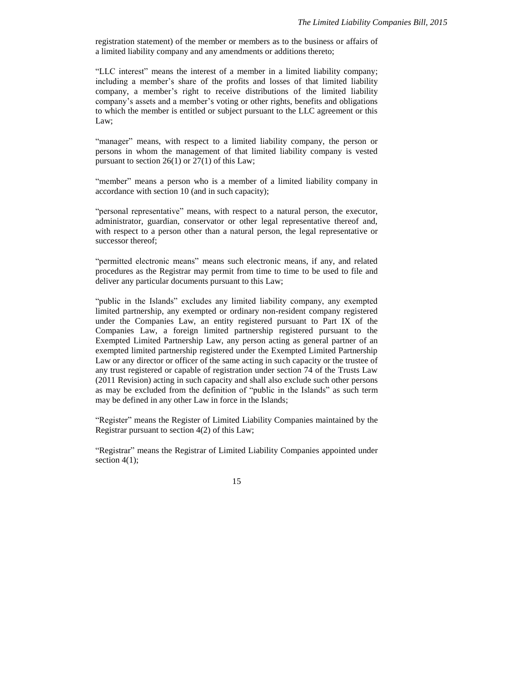registration statement) of the member or members as to the business or affairs of a limited liability company and any amendments or additions thereto;

"LLC interest" means the interest of a member in a limited liability company; including a member's share of the profits and losses of that limited liability company, a member's right to receive distributions of the limited liability company's assets and a member's voting or other rights, benefits and obligations to which the member is entitled or subject pursuant to the LLC agreement or this Law;

"manager" means, with respect to a limited liability company, the person or persons in whom the management of that limited liability company is vested pursuant to section 26(1) or 27(1) of this Law;

"member" means a person who is a member of a limited liability company in accordance with section 10 (and in such capacity);

"personal representative" means, with respect to a natural person, the executor, administrator, guardian, conservator or other legal representative thereof and, with respect to a person other than a natural person, the legal representative or successor thereof;

"permitted electronic means" means such electronic means, if any, and related procedures as the Registrar may permit from time to time to be used to file and deliver any particular documents pursuant to this Law;

"public in the Islands" excludes any limited liability company, any exempted limited partnership, any exempted or ordinary non-resident company registered under the Companies Law, an entity registered pursuant to Part IX of the Companies Law, a foreign limited partnership registered pursuant to the Exempted Limited Partnership Law, any person acting as general partner of an exempted limited partnership registered under the Exempted Limited Partnership Law or any director or officer of the same acting in such capacity or the trustee of any trust registered or capable of registration under section 74 of the Trusts Law (2011 Revision) acting in such capacity and shall also exclude such other persons as may be excluded from the definition of "public in the Islands" as such term may be defined in any other Law in force in the Islands;

"Register" means the Register of Limited Liability Companies maintained by the Registrar pursuant to section 4(2) of this Law;

"Registrar" means the Registrar of Limited Liability Companies appointed under section  $4(1)$ ;

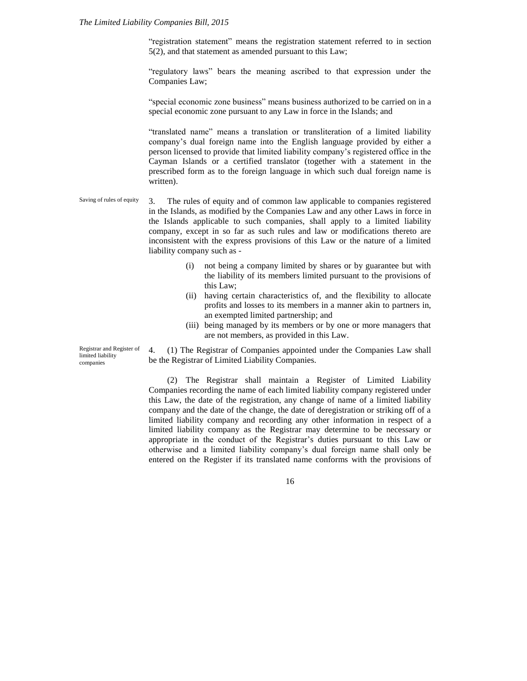"registration statement" means the registration statement referred to in section 5(2), and that statement as amended pursuant to this Law;

"regulatory laws" bears the meaning ascribed to that expression under the Companies Law;

"special economic zone business" means business authorized to be carried on in a special economic zone pursuant to any Law in force in the Islands; and

"translated name" means a translation or transliteration of a limited liability company's dual foreign name into the English language provided by either a person licensed to provide that limited liability company's registered office in the Cayman Islands or a certified translator (together with a statement in the prescribed form as to the foreign language in which such dual foreign name is written).

3. The rules of equity and of common law applicable to companies registered in the Islands, as modified by the Companies Law and any other Laws in force in the Islands applicable to such companies, shall apply to a limited liability company, except in so far as such rules and law or modifications thereto are inconsistent with the express provisions of this Law or the nature of a limited liability company such as - Saving of rules of equity

- (i) not being a company limited by shares or by guarantee but with the liability of its members limited pursuant to the provisions of this Law;
- (ii) having certain characteristics of, and the flexibility to allocate profits and losses to its members in a manner akin to partners in, an exempted limited partnership; and
- (iii) being managed by its members or by one or more managers that are not members, as provided in this Law.

4. (1) The Registrar of Companies appointed under the Companies Law shall be the Registrar of Limited Liability Companies.

(2) The Registrar shall maintain a Register of Limited Liability Companies recording the name of each limited liability company registered under this Law, the date of the registration, any change of name of a limited liability company and the date of the change, the date of deregistration or striking off of a limited liability company and recording any other information in respect of a limited liability company as the Registrar may determine to be necessary or appropriate in the conduct of the Registrar's duties pursuant to this Law or otherwise and a limited liability company's dual foreign name shall only be entered on the Register if its translated name conforms with the provisions of

Registrar and Register of limited liability companies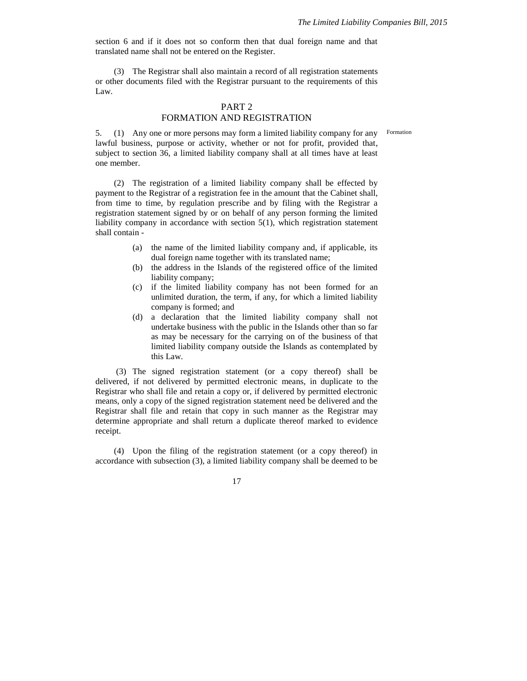section 6 and if it does not so conform then that dual foreign name and that translated name shall not be entered on the Register.

(3) The Registrar shall also maintain a record of all registration statements or other documents filed with the Registrar pursuant to the requirements of this Law.

#### PART 2

## FORMATION AND REGISTRATION

Formation

5. (1) Any one or more persons may form a limited liability company for any lawful business, purpose or activity, whether or not for profit, provided that, subject to section 36, a limited liability company shall at all times have at least one member.

(2) The registration of a limited liability company shall be effected by payment to the Registrar of a registration fee in the amount that the Cabinet shall, from time to time, by regulation prescribe and by filing with the Registrar a registration statement signed by or on behalf of any person forming the limited liability company in accordance with section 5(1), which registration statement shall contain -

- (a) the name of the limited liability company and, if applicable, its dual foreign name together with its translated name;
- (b) the address in the Islands of the registered office of the limited liability company;
- (c) if the limited liability company has not been formed for an unlimited duration, the term, if any, for which a limited liability company is formed; and
- (d) a declaration that the limited liability company shall not undertake business with the public in the Islands other than so far as may be necessary for the carrying on of the business of that limited liability company outside the Islands as contemplated by this Law.

(3) The signed registration statement (or a copy thereof) shall be delivered, if not delivered by permitted electronic means, in duplicate to the Registrar who shall file and retain a copy or, if delivered by permitted electronic means, only a copy of the signed registration statement need be delivered and the Registrar shall file and retain that copy in such manner as the Registrar may determine appropriate and shall return a duplicate thereof marked to evidence receipt.

(4) Upon the filing of the registration statement (or a copy thereof) in accordance with subsection (3), a limited liability company shall be deemed to be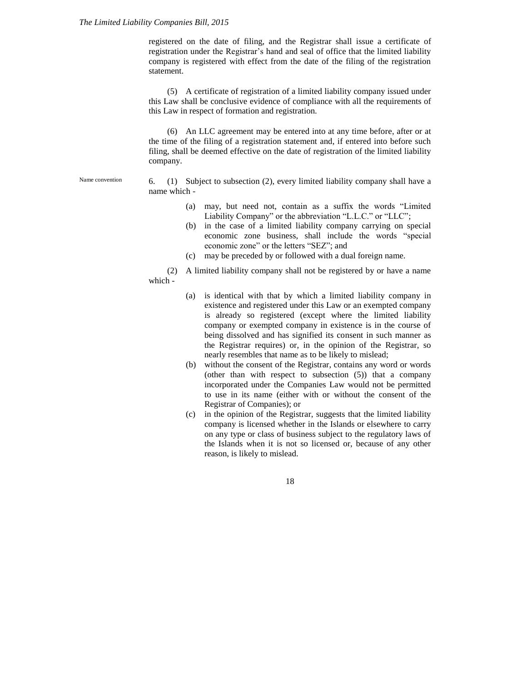Name convention

registered on the date of filing, and the Registrar shall issue a certificate of registration under the Registrar's hand and seal of office that the limited liability company is registered with effect from the date of the filing of the registration statement.

(5) A certificate of registration of a limited liability company issued under this Law shall be conclusive evidence of compliance with all the requirements of this Law in respect of formation and registration.

(6) An LLC agreement may be entered into at any time before, after or at the time of the filing of a registration statement and, if entered into before such filing, shall be deemed effective on the date of registration of the limited liability company.

6. (1) Subject to subsection (2), every limited liability company shall have a name which -

- (a) may, but need not, contain as a suffix the words "Limited Liability Company" or the abbreviation "L.L.C." or "LLC";
- (b) in the case of a limited liability company carrying on special economic zone business, shall include the words "special economic zone" or the letters "SEZ"; and
- (c) may be preceded by or followed with a dual foreign name.

(2) A limited liability company shall not be registered by or have a name which -

- (a) is identical with that by which a limited liability company in existence and registered under this Law or an exempted company is already so registered (except where the limited liability company or exempted company in existence is in the course of being dissolved and has signified its consent in such manner as the Registrar requires) or, in the opinion of the Registrar, so nearly resembles that name as to be likely to mislead;
- (b) without the consent of the Registrar, contains any word or words (other than with respect to subsection (5)) that a company incorporated under the Companies Law would not be permitted to use in its name (either with or without the consent of the Registrar of Companies); or
- (c) in the opinion of the Registrar, suggests that the limited liability company is licensed whether in the Islands or elsewhere to carry on any type or class of business subject to the regulatory laws of the Islands when it is not so licensed or, because of any other reason, is likely to mislead.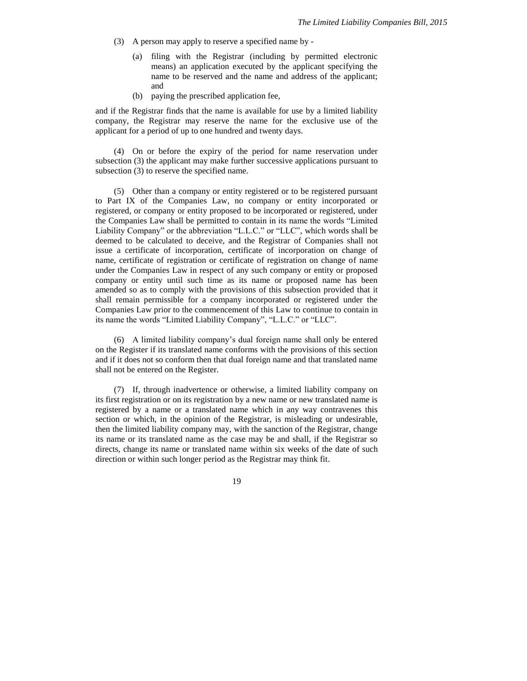- (3) A person may apply to reserve a specified name by
	- (a) filing with the Registrar (including by permitted electronic means) an application executed by the applicant specifying the name to be reserved and the name and address of the applicant; and
	- (b) paying the prescribed application fee,

and if the Registrar finds that the name is available for use by a limited liability company, the Registrar may reserve the name for the exclusive use of the applicant for a period of up to one hundred and twenty days.

(4) On or before the expiry of the period for name reservation under subsection (3) the applicant may make further successive applications pursuant to subsection (3) to reserve the specified name.

(5) Other than a company or entity registered or to be registered pursuant to Part IX of the Companies Law, no company or entity incorporated or registered, or company or entity proposed to be incorporated or registered, under the Companies Law shall be permitted to contain in its name the words "Limited Liability Company" or the abbreviation "L.L.C." or "LLC", which words shall be deemed to be calculated to deceive, and the Registrar of Companies shall not issue a certificate of incorporation, certificate of incorporation on change of name, certificate of registration or certificate of registration on change of name under the Companies Law in respect of any such company or entity or proposed company or entity until such time as its name or proposed name has been amended so as to comply with the provisions of this subsection provided that it shall remain permissible for a company incorporated or registered under the Companies Law prior to the commencement of this Law to continue to contain in its name the words "Limited Liability Company", "L.L.C." or "LLC".

(6) A limited liability company's dual foreign name shall only be entered on the Register if its translated name conforms with the provisions of this section and if it does not so conform then that dual foreign name and that translated name shall not be entered on the Register.

(7) If, through inadvertence or otherwise, a limited liability company on its first registration or on its registration by a new name or new translated name is registered by a name or a translated name which in any way contravenes this section or which, in the opinion of the Registrar, is misleading or undesirable, then the limited liability company may, with the sanction of the Registrar, change its name or its translated name as the case may be and shall, if the Registrar so directs, change its name or translated name within six weeks of the date of such direction or within such longer period as the Registrar may think fit.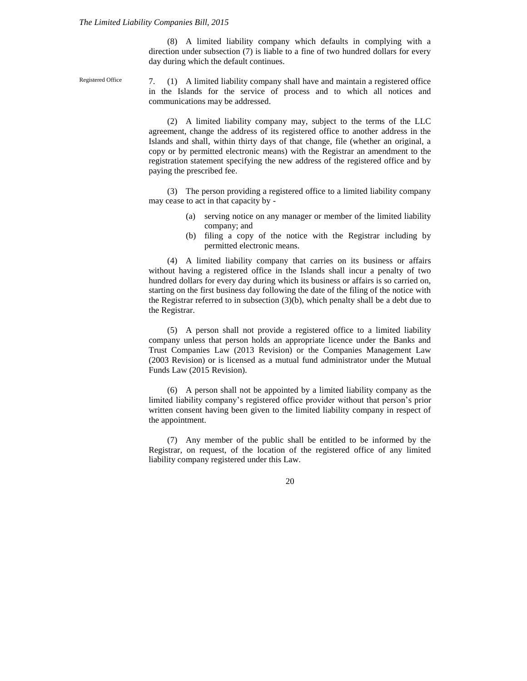(8) A limited liability company which defaults in complying with a direction under subsection (7) is liable to a fine of two hundred dollars for every day during which the default continues.

Registered Office

7. (1) A limited liability company shall have and maintain a registered office in the Islands for the service of process and to which all notices and communications may be addressed.

(2) A limited liability company may, subject to the terms of the LLC agreement, change the address of its registered office to another address in the Islands and shall, within thirty days of that change, file (whether an original, a copy or by permitted electronic means) with the Registrar an amendment to the registration statement specifying the new address of the registered office and by paying the prescribed fee.

(3) The person providing a registered office to a limited liability company may cease to act in that capacity by -

- (a) serving notice on any manager or member of the limited liability company; and
- (b) filing a copy of the notice with the Registrar including by permitted electronic means.

(4) A limited liability company that carries on its business or affairs without having a registered office in the Islands shall incur a penalty of two hundred dollars for every day during which its business or affairs is so carried on, starting on the first business day following the date of the filing of the notice with the Registrar referred to in subsection (3)(b), which penalty shall be a debt due to the Registrar.

(5) A person shall not provide a registered office to a limited liability company unless that person holds an appropriate licence under the Banks and Trust Companies Law (2013 Revision) or the Companies Management Law (2003 Revision) or is licensed as a mutual fund administrator under the Mutual Funds Law (2015 Revision).

(6) A person shall not be appointed by a limited liability company as the limited liability company's registered office provider without that person's prior written consent having been given to the limited liability company in respect of the appointment.

(7) Any member of the public shall be entitled to be informed by the Registrar, on request, of the location of the registered office of any limited liability company registered under this Law.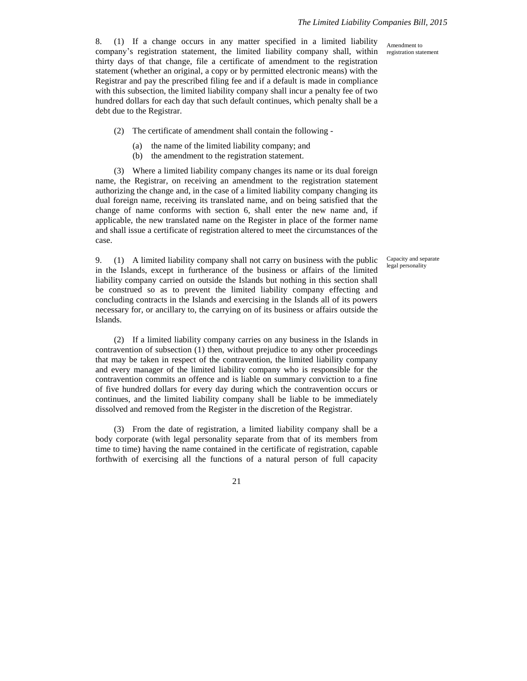8. (1) If a change occurs in any matter specified in a limited liability company's registration statement, the limited liability company shall, within thirty days of that change, file a certificate of amendment to the registration statement (whether an original, a copy or by permitted electronic means) with the Registrar and pay the prescribed filing fee and if a default is made in compliance with this subsection, the limited liability company shall incur a penalty fee of two hundred dollars for each day that such default continues, which penalty shall be a debt due to the Registrar.

- (2) The certificate of amendment shall contain the following
	- (a) the name of the limited liability company; and
	- (b) the amendment to the registration statement.

(3) Where a limited liability company changes its name or its dual foreign name, the Registrar, on receiving an amendment to the registration statement authorizing the change and, in the case of a limited liability company changing its dual foreign name, receiving its translated name, and on being satisfied that the change of name conforms with section 6, shall enter the new name and, if applicable, the new translated name on the Register in place of the former name and shall issue a certificate of registration altered to meet the circumstances of the case.

9. (1) A limited liability company shall not carry on business with the public in the Islands, except in furtherance of the business or affairs of the limited liability company carried on outside the Islands but nothing in this section shall be construed so as to prevent the limited liability company effecting and concluding contracts in the Islands and exercising in the Islands all of its powers necessary for, or ancillary to, the carrying on of its business or affairs outside the Islands.

(2) If a limited liability company carries on any business in the Islands in contravention of subsection (1) then, without prejudice to any other proceedings that may be taken in respect of the contravention, the limited liability company and every manager of the limited liability company who is responsible for the contravention commits an offence and is liable on summary conviction to a fine of five hundred dollars for every day during which the contravention occurs or continues, and the limited liability company shall be liable to be immediately dissolved and removed from the Register in the discretion of the Registrar.

(3) From the date of registration, a limited liability company shall be a body corporate (with legal personality separate from that of its members from time to time) having the name contained in the certificate of registration, capable forthwith of exercising all the functions of a natural person of full capacity

21

Amendment to registration statement

Capacity and separate legal personality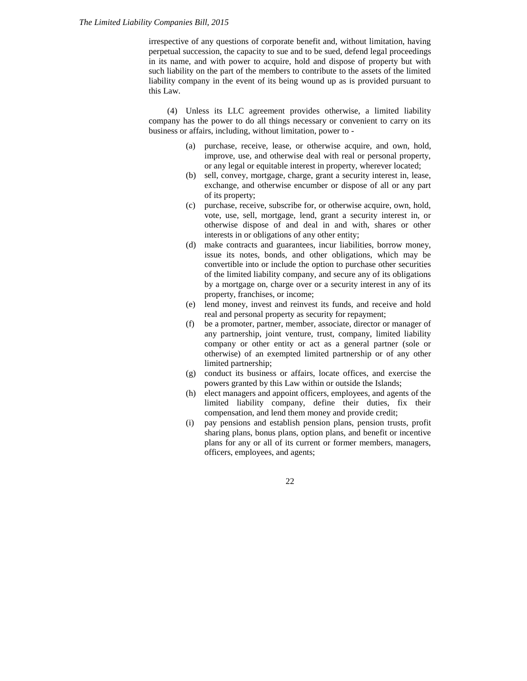irrespective of any questions of corporate benefit and, without limitation, having perpetual succession, the capacity to sue and to be sued, defend legal proceedings in its name, and with power to acquire, hold and dispose of property but with such liability on the part of the members to contribute to the assets of the limited liability company in the event of its being wound up as is provided pursuant to this Law.

(4) Unless its LLC agreement provides otherwise, a limited liability company has the power to do all things necessary or convenient to carry on its business or affairs, including, without limitation, power to -

- (a) purchase, receive, lease, or otherwise acquire, and own, hold, improve, use, and otherwise deal with real or personal property, or any legal or equitable interest in property, wherever located;
- (b) sell, convey, mortgage, charge, grant a security interest in, lease, exchange, and otherwise encumber or dispose of all or any part of its property;
- (c) purchase, receive, subscribe for, or otherwise acquire, own, hold, vote, use, sell, mortgage, lend, grant a security interest in, or otherwise dispose of and deal in and with, shares or other interests in or obligations of any other entity;
- (d) make contracts and guarantees, incur liabilities, borrow money, issue its notes, bonds, and other obligations, which may be convertible into or include the option to purchase other securities of the limited liability company, and secure any of its obligations by a mortgage on, charge over or a security interest in any of its property, franchises, or income;
- (e) lend money, invest and reinvest its funds, and receive and hold real and personal property as security for repayment;
- (f) be a promoter, partner, member, associate, director or manager of any partnership, joint venture, trust, company, limited liability company or other entity or act as a general partner (sole or otherwise) of an exempted limited partnership or of any other limited partnership;
- (g) conduct its business or affairs, locate offices, and exercise the powers granted by this Law within or outside the Islands;
- (h) elect managers and appoint officers, employees, and agents of the limited liability company, define their duties, fix their compensation, and lend them money and provide credit;
- (i) pay pensions and establish pension plans, pension trusts, profit sharing plans, bonus plans, option plans, and benefit or incentive plans for any or all of its current or former members, managers, officers, employees, and agents;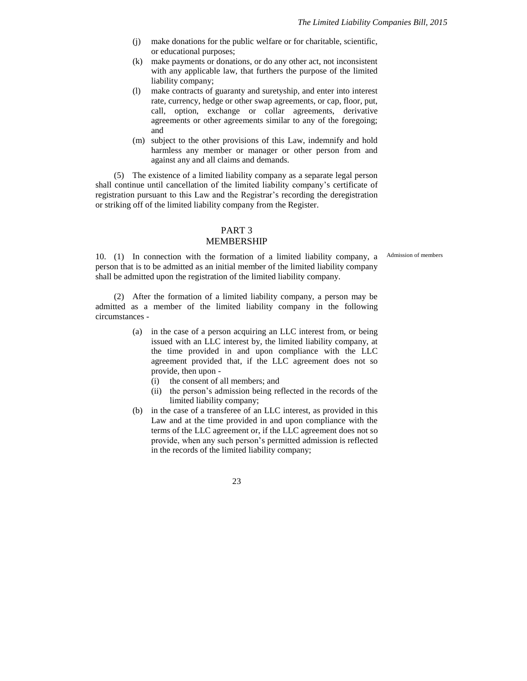- (j) make donations for the public welfare or for charitable, scientific, or educational purposes;
- (k) make payments or donations, or do any other act, not inconsistent with any applicable law, that furthers the purpose of the limited liability company;
- (l) make contracts of guaranty and suretyship, and enter into interest rate, currency, hedge or other swap agreements, or cap, floor, put, call, option, exchange or collar agreements, derivative agreements or other agreements similar to any of the foregoing; and
- (m) subject to the other provisions of this Law, indemnify and hold harmless any member or manager or other person from and against any and all claims and demands.

(5) The existence of a limited liability company as a separate legal person shall continue until cancellation of the limited liability company's certificate of registration pursuant to this Law and the Registrar's recording the deregistration or striking off of the limited liability company from the Register.

#### PART 3

#### MEMBERSHIP

Admission of members

10. (1) In connection with the formation of a limited liability company, a person that is to be admitted as an initial member of the limited liability company shall be admitted upon the registration of the limited liability company.

(2) After the formation of a limited liability company, a person may be admitted as a member of the limited liability company in the following circumstances -

- (a) in the case of a person acquiring an LLC interest from, or being issued with an LLC interest by, the limited liability company, at the time provided in and upon compliance with the LLC agreement provided that, if the LLC agreement does not so provide, then upon -
	- (i) the consent of all members; and
	- (ii) the person's admission being reflected in the records of the limited liability company;
- (b) in the case of a transferee of an LLC interest, as provided in this Law and at the time provided in and upon compliance with the terms of the LLC agreement or, if the LLC agreement does not so provide, when any such person's permitted admission is reflected in the records of the limited liability company;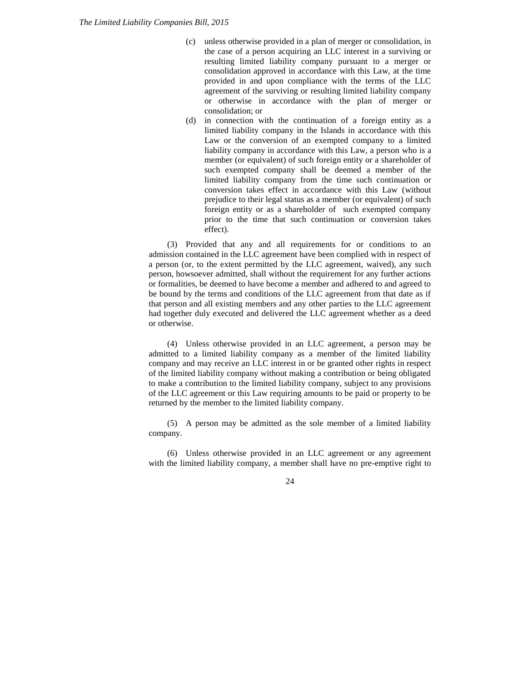- (c) unless otherwise provided in a plan of merger or consolidation, in the case of a person acquiring an LLC interest in a surviving or resulting limited liability company pursuant to a merger or consolidation approved in accordance with this Law, at the time provided in and upon compliance with the terms of the LLC agreement of the surviving or resulting limited liability company or otherwise in accordance with the plan of merger or consolidation; or
- (d) in connection with the continuation of a foreign entity as a limited liability company in the Islands in accordance with this Law or the conversion of an exempted company to a limited liability company in accordance with this Law, a person who is a member (or equivalent) of such foreign entity or a shareholder of such exempted company shall be deemed a member of the limited liability company from the time such continuation or conversion takes effect in accordance with this Law (without prejudice to their legal status as a member (or equivalent) of such foreign entity or as a shareholder of such exempted company prior to the time that such continuation or conversion takes effect).

(3) Provided that any and all requirements for or conditions to an admission contained in the LLC agreement have been complied with in respect of a person (or, to the extent permitted by the LLC agreement, waived), any such person, howsoever admitted, shall without the requirement for any further actions or formalities, be deemed to have become a member and adhered to and agreed to be bound by the terms and conditions of the LLC agreement from that date as if that person and all existing members and any other parties to the LLC agreement had together duly executed and delivered the LLC agreement whether as a deed or otherwise.

(4) Unless otherwise provided in an LLC agreement, a person may be admitted to a limited liability company as a member of the limited liability company and may receive an LLC interest in or be granted other rights in respect of the limited liability company without making a contribution or being obligated to make a contribution to the limited liability company, subject to any provisions of the LLC agreement or this Law requiring amounts to be paid or property to be returned by the member to the limited liability company.

(5) A person may be admitted as the sole member of a limited liability company.

(6) Unless otherwise provided in an LLC agreement or any agreement with the limited liability company, a member shall have no pre-emptive right to

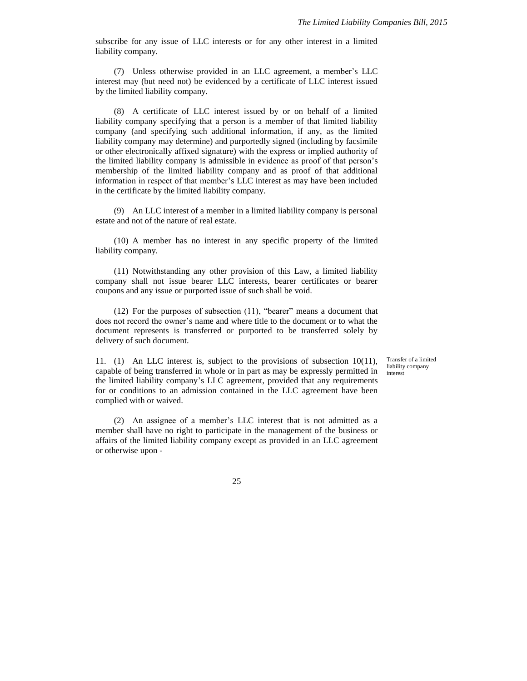subscribe for any issue of LLC interests or for any other interest in a limited liability company.

(7) Unless otherwise provided in an LLC agreement, a member's LLC interest may (but need not) be evidenced by a certificate of LLC interest issued by the limited liability company.

(8) A certificate of LLC interest issued by or on behalf of a limited liability company specifying that a person is a member of that limited liability company (and specifying such additional information, if any, as the limited liability company may determine) and purportedly signed (including by facsimile or other electronically affixed signature) with the express or implied authority of the limited liability company is admissible in evidence as proof of that person's membership of the limited liability company and as proof of that additional information in respect of that member's LLC interest as may have been included in the certificate by the limited liability company.

(9) An LLC interest of a member in a limited liability company is personal estate and not of the nature of real estate.

(10) A member has no interest in any specific property of the limited liability company.

(11) Notwithstanding any other provision of this Law, a limited liability company shall not issue bearer LLC interests, bearer certificates or bearer coupons and any issue or purported issue of such shall be void.

(12) For the purposes of subsection (11), "bearer" means a document that does not record the owner's name and where title to the document or to what the document represents is transferred or purported to be transferred solely by delivery of such document.

> Transfer of a limited liability company interest

11. (1) An LLC interest is, subject to the provisions of subsection 10(11), capable of being transferred in whole or in part as may be expressly permitted in the limited liability company's LLC agreement, provided that any requirements for or conditions to an admission contained in the LLC agreement have been complied with or waived.

(2) An assignee of a member's LLC interest that is not admitted as a member shall have no right to participate in the management of the business or affairs of the limited liability company except as provided in an LLC agreement or otherwise upon -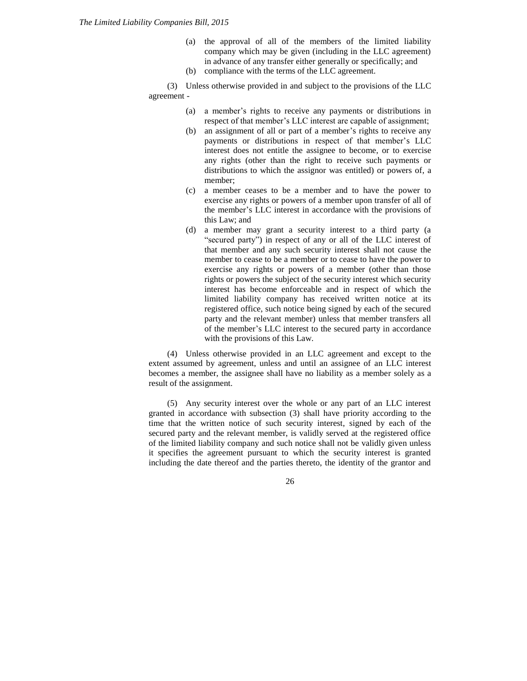- (a) the approval of all of the members of the limited liability company which may be given (including in the LLC agreement) in advance of any transfer either generally or specifically; and
- (b) compliance with the terms of the LLC agreement.

(3) Unless otherwise provided in and subject to the provisions of the LLC agreement -

- (a) a member's rights to receive any payments or distributions in respect of that member's LLC interest are capable of assignment;
- (b) an assignment of all or part of a member's rights to receive any payments or distributions in respect of that member's LLC interest does not entitle the assignee to become, or to exercise any rights (other than the right to receive such payments or distributions to which the assignor was entitled) or powers of, a member;
- (c) a member ceases to be a member and to have the power to exercise any rights or powers of a member upon transfer of all of the member's LLC interest in accordance with the provisions of this Law; and
- (d) a member may grant a security interest to a third party (a "secured party") in respect of any or all of the LLC interest of that member and any such security interest shall not cause the member to cease to be a member or to cease to have the power to exercise any rights or powers of a member (other than those rights or powers the subject of the security interest which security interest has become enforceable and in respect of which the limited liability company has received written notice at its registered office, such notice being signed by each of the secured party and the relevant member) unless that member transfers all of the member's LLC interest to the secured party in accordance with the provisions of this Law.

(4) Unless otherwise provided in an LLC agreement and except to the extent assumed by agreement, unless and until an assignee of an LLC interest becomes a member, the assignee shall have no liability as a member solely as a result of the assignment.

(5) Any security interest over the whole or any part of an LLC interest granted in accordance with subsection (3) shall have priority according to the time that the written notice of such security interest, signed by each of the secured party and the relevant member, is validly served at the registered office of the limited liability company and such notice shall not be validly given unless it specifies the agreement pursuant to which the security interest is granted including the date thereof and the parties thereto, the identity of the grantor and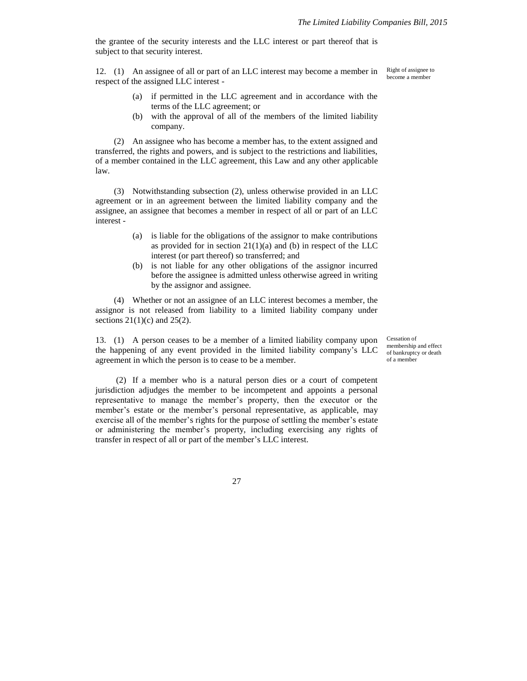the grantee of the security interests and the LLC interest or part thereof that is subject to that security interest.

12. (1) An assignee of all or part of an LLC interest may become a member in respect of the assigned LLC interest -

- (a) if permitted in the LLC agreement and in accordance with the terms of the LLC agreement; or
- (b) with the approval of all of the members of the limited liability company.

(2) An assignee who has become a member has, to the extent assigned and transferred, the rights and powers, and is subject to the restrictions and liabilities, of a member contained in the LLC agreement, this Law and any other applicable law.

(3) Notwithstanding subsection (2), unless otherwise provided in an LLC agreement or in an agreement between the limited liability company and the assignee, an assignee that becomes a member in respect of all or part of an LLC interest -

- (a) is liable for the obligations of the assignor to make contributions as provided for in section  $21(1)(a)$  and (b) in respect of the LLC interest (or part thereof) so transferred; and
- (b) is not liable for any other obligations of the assignor incurred before the assignee is admitted unless otherwise agreed in writing by the assignor and assignee.

(4) Whether or not an assignee of an LLC interest becomes a member, the assignor is not released from liability to a limited liability company under sections  $21(1)(c)$  and  $25(2)$ .

13. (1) A person ceases to be a member of a limited liability company upon the happening of any event provided in the limited liability company's LLC agreement in which the person is to cease to be a member.

Cessation of membership and effect of bankruptcy or death of a member

(2) If a member who is a natural person dies or a court of competent jurisdiction adjudges the member to be incompetent and appoints a personal representative to manage the member's property, then the executor or the member's estate or the member's personal representative, as applicable, may exercise all of the member's rights for the purpose of settling the member's estate or administering the member's property, including exercising any rights of transfer in respect of all or part of the member's LLC interest.

27

Right of assignee to become a member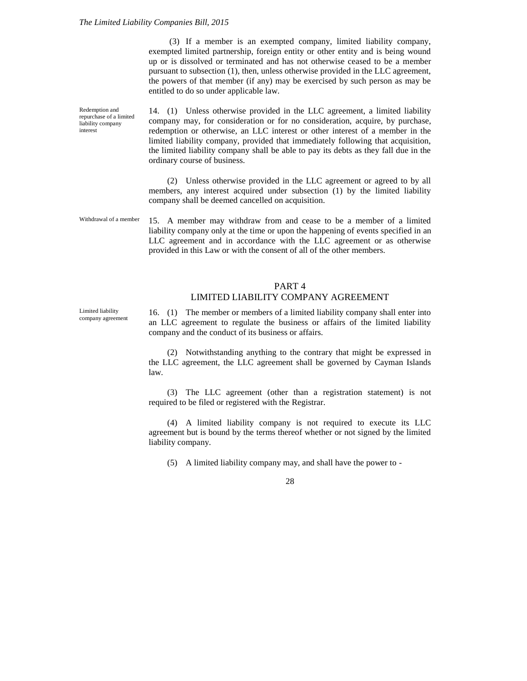(3) If a member is an exempted company, limited liability company, exempted limited partnership, foreign entity or other entity and is being wound up or is dissolved or terminated and has not otherwise ceased to be a member pursuant to subsection (1), then, unless otherwise provided in the LLC agreement, the powers of that member (if any) may be exercised by such person as may be entitled to do so under applicable law.

14. (1) Unless otherwise provided in the LLC agreement, a limited liability company may, for consideration or for no consideration, acquire, by purchase, redemption or otherwise, an LLC interest or other interest of a member in the limited liability company, provided that immediately following that acquisition, the limited liability company shall be able to pay its debts as they fall due in the ordinary course of business.

(2) Unless otherwise provided in the LLC agreement or agreed to by all members, any interest acquired under subsection (1) by the limited liability company shall be deemed cancelled on acquisition.

15. A member may withdraw from and cease to be a member of a limited liability company only at the time or upon the happening of events specified in an LLC agreement and in accordance with the LLC agreement or as otherwise provided in this Law or with the consent of all of the other members. Withdrawal of a member

## PART 4 LIMITED LIABILITY COMPANY AGREEMENT

company agreement

16. (1) The member or members of a limited liability company shall enter into an LLC agreement to regulate the business or affairs of the limited liability company and the conduct of its business or affairs.

(2) Notwithstanding anything to the contrary that might be expressed in the LLC agreement, the LLC agreement shall be governed by Cayman Islands law.

(3) The LLC agreement (other than a registration statement) is not required to be filed or registered with the Registrar.

(4) A limited liability company is not required to execute its LLC agreement but is bound by the terms thereof whether or not signed by the limited liability company.

(5) A limited liability company may, and shall have the power to -

Redemption and repurchase of a limited liability company interest

Limited liability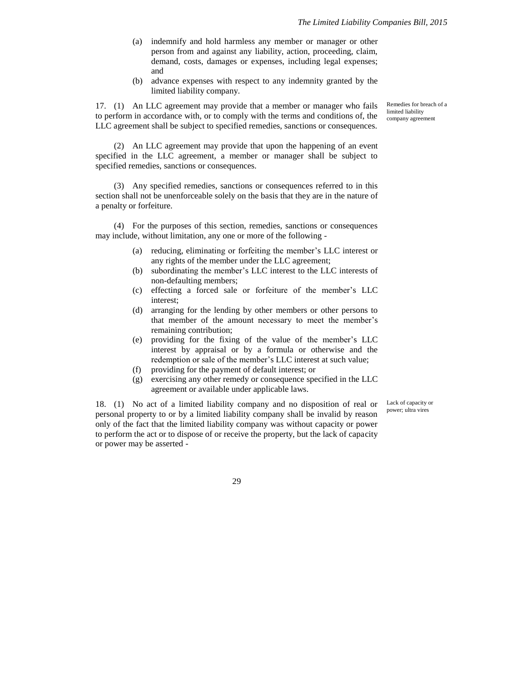- (a) indemnify and hold harmless any member or manager or other person from and against any liability, action, proceeding, claim, demand, costs, damages or expenses, including legal expenses; and
- (b) advance expenses with respect to any indemnity granted by the limited liability company.

17. (1) An LLC agreement may provide that a member or manager who fails to perform in accordance with, or to comply with the terms and conditions of, the LLC agreement shall be subject to specified remedies, sanctions or consequences.

Remedies for breach of a limited liability company agreement

(2) An LLC agreement may provide that upon the happening of an event specified in the LLC agreement, a member or manager shall be subject to specified remedies, sanctions or consequences.

(3) Any specified remedies, sanctions or consequences referred to in this section shall not be unenforceable solely on the basis that they are in the nature of a penalty or forfeiture.

(4) For the purposes of this section, remedies, sanctions or consequences may include, without limitation, any one or more of the following -

- (a) reducing, eliminating or forfeiting the member's LLC interest or any rights of the member under the LLC agreement;
- (b) subordinating the member's LLC interest to the LLC interests of non-defaulting members;
- (c) effecting a forced sale or forfeiture of the member's LLC interest;
- (d) arranging for the lending by other members or other persons to that member of the amount necessary to meet the member's remaining contribution;
- (e) providing for the fixing of the value of the member's LLC interest by appraisal or by a formula or otherwise and the redemption or sale of the member's LLC interest at such value;
- (f) providing for the payment of default interest; or
- (g) exercising any other remedy or consequence specified in the LLC agreement or available under applicable laws.

Lack of capacity or power; ultra vires

18. (1) No act of a limited liability company and no disposition of real or personal property to or by a limited liability company shall be invalid by reason only of the fact that the limited liability company was without capacity or power to perform the act or to dispose of or receive the property, but the lack of capacity or power may be asserted -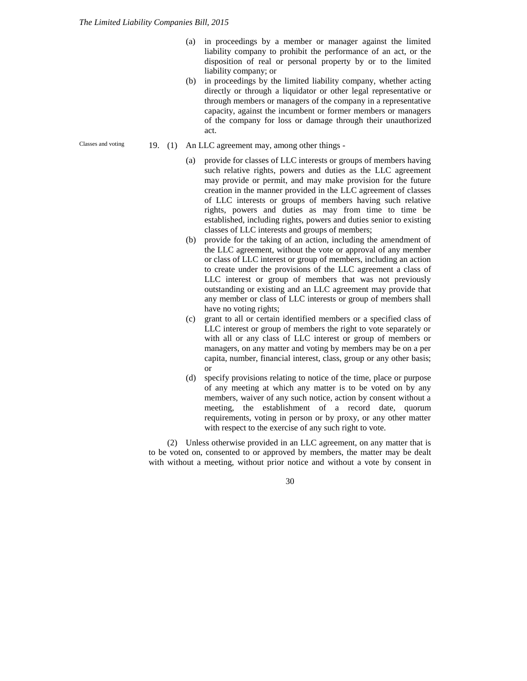- (a) in proceedings by a member or manager against the limited liability company to prohibit the performance of an act, or the disposition of real or personal property by or to the limited liability company; or
- (b) in proceedings by the limited liability company, whether acting directly or through a liquidator or other legal representative or through members or managers of the company in a representative capacity, against the incumbent or former members or managers of the company for loss or damage through their unauthorized act.
- 19. (1) An LLC agreement may, among other things
	- (a) provide for classes of LLC interests or groups of members having such relative rights, powers and duties as the LLC agreement may provide or permit, and may make provision for the future creation in the manner provided in the LLC agreement of classes of LLC interests or groups of members having such relative rights, powers and duties as may from time to time be established, including rights, powers and duties senior to existing classes of LLC interests and groups of members;
	- (b) provide for the taking of an action, including the amendment of the LLC agreement, without the vote or approval of any member or class of LLC interest or group of members, including an action to create under the provisions of the LLC agreement a class of LLC interest or group of members that was not previously outstanding or existing and an LLC agreement may provide that any member or class of LLC interests or group of members shall have no voting rights;
	- (c) grant to all or certain identified members or a specified class of LLC interest or group of members the right to vote separately or with all or any class of LLC interest or group of members or managers, on any matter and voting by members may be on a per capita, number, financial interest, class, group or any other basis; or
	- (d) specify provisions relating to notice of the time, place or purpose of any meeting at which any matter is to be voted on by any members, waiver of any such notice, action by consent without a meeting, the establishment of a record date, quorum requirements, voting in person or by proxy, or any other matter with respect to the exercise of any such right to vote.

(2) Unless otherwise provided in an LLC agreement, on any matter that is to be voted on, consented to or approved by members, the matter may be dealt with without a meeting, without prior notice and without a vote by consent in

30

Classes and voting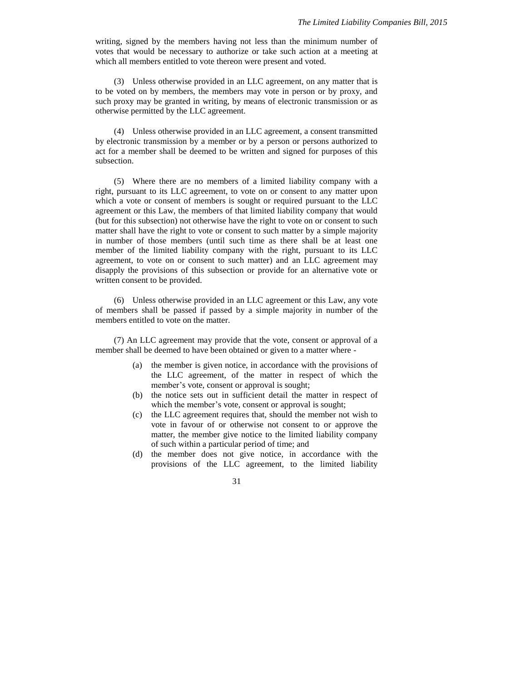writing, signed by the members having not less than the minimum number of votes that would be necessary to authorize or take such action at a meeting at which all members entitled to vote thereon were present and voted.

(3) Unless otherwise provided in an LLC agreement, on any matter that is to be voted on by members, the members may vote in person or by proxy, and such proxy may be granted in writing, by means of electronic transmission or as otherwise permitted by the LLC agreement.

(4) Unless otherwise provided in an LLC agreement, a consent transmitted by electronic transmission by a member or by a person or persons authorized to act for a member shall be deemed to be written and signed for purposes of this subsection.

(5) Where there are no members of a limited liability company with a right, pursuant to its LLC agreement, to vote on or consent to any matter upon which a vote or consent of members is sought or required pursuant to the LLC agreement or this Law, the members of that limited liability company that would (but for this subsection) not otherwise have the right to vote on or consent to such matter shall have the right to vote or consent to such matter by a simple majority in number of those members (until such time as there shall be at least one member of the limited liability company with the right, pursuant to its LLC agreement, to vote on or consent to such matter) and an LLC agreement may disapply the provisions of this subsection or provide for an alternative vote or written consent to be provided.

(6) Unless otherwise provided in an LLC agreement or this Law, any vote of members shall be passed if passed by a simple majority in number of the members entitled to vote on the matter.

(7) An LLC agreement may provide that the vote, consent or approval of a member shall be deemed to have been obtained or given to a matter where -

- (a) the member is given notice, in accordance with the provisions of the LLC agreement, of the matter in respect of which the member's vote, consent or approval is sought;
- (b) the notice sets out in sufficient detail the matter in respect of which the member's vote, consent or approval is sought;
- (c) the LLC agreement requires that, should the member not wish to vote in favour of or otherwise not consent to or approve the matter, the member give notice to the limited liability company of such within a particular period of time; and
- (d) the member does not give notice, in accordance with the provisions of the LLC agreement, to the limited liability

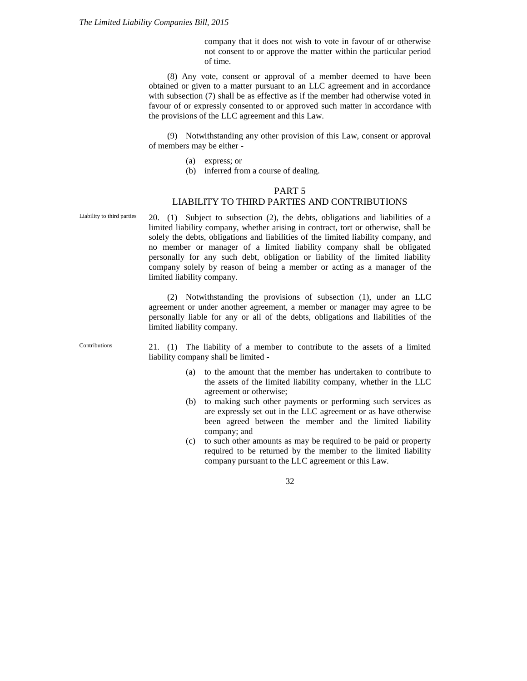company that it does not wish to vote in favour of or otherwise not consent to or approve the matter within the particular period of time.

(8) Any vote, consent or approval of a member deemed to have been obtained or given to a matter pursuant to an LLC agreement and in accordance with subsection (7) shall be as effective as if the member had otherwise voted in favour of or expressly consented to or approved such matter in accordance with the provisions of the LLC agreement and this Law.

(9) Notwithstanding any other provision of this Law, consent or approval of members may be either -

- (a) express; or
- (b) inferred from a course of dealing.

### PART 5

#### LIABILITY TO THIRD PARTIES AND CONTRIBUTIONS

20. (1) Subject to subsection (2), the debts, obligations and liabilities of a limited liability company, whether arising in contract, tort or otherwise, shall be solely the debts, obligations and liabilities of the limited liability company, and no member or manager of a limited liability company shall be obligated personally for any such debt, obligation or liability of the limited liability company solely by reason of being a member or acting as a manager of the limited liability company. Liability to third parties

> (2) Notwithstanding the provisions of subsection (1), under an LLC agreement or under another agreement, a member or manager may agree to be personally liable for any or all of the debts, obligations and liabilities of the limited liability company.

> 21. (1) The liability of a member to contribute to the assets of a limited liability company shall be limited -

- (a) to the amount that the member has undertaken to contribute to the assets of the limited liability company, whether in the LLC agreement or otherwise;
- (b) to making such other payments or performing such services as are expressly set out in the LLC agreement or as have otherwise been agreed between the member and the limited liability company; and
- (c) to such other amounts as may be required to be paid or property required to be returned by the member to the limited liability company pursuant to the LLC agreement or this Law.

32

Contributions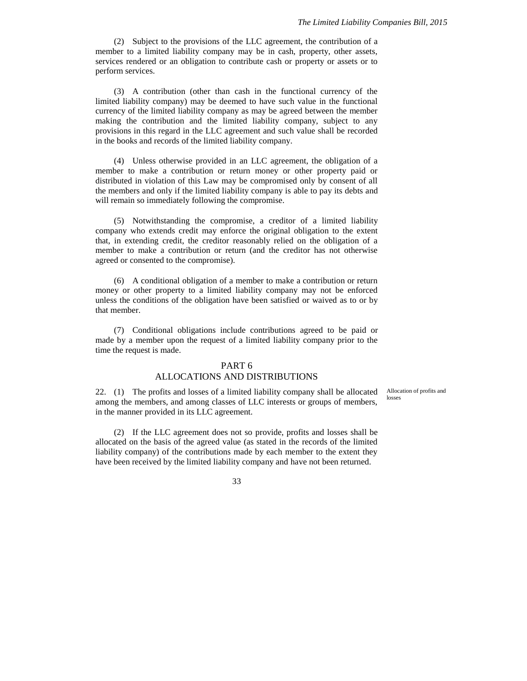(2) Subject to the provisions of the LLC agreement, the contribution of a member to a limited liability company may be in cash, property, other assets, services rendered or an obligation to contribute cash or property or assets or to perform services.

(3) A contribution (other than cash in the functional currency of the limited liability company) may be deemed to have such value in the functional currency of the limited liability company as may be agreed between the member making the contribution and the limited liability company, subject to any provisions in this regard in the LLC agreement and such value shall be recorded in the books and records of the limited liability company.

(4) Unless otherwise provided in an LLC agreement, the obligation of a member to make a contribution or return money or other property paid or distributed in violation of this Law may be compromised only by consent of all the members and only if the limited liability company is able to pay its debts and will remain so immediately following the compromise.

(5) Notwithstanding the compromise, a creditor of a limited liability company who extends credit may enforce the original obligation to the extent that, in extending credit, the creditor reasonably relied on the obligation of a member to make a contribution or return (and the creditor has not otherwise agreed or consented to the compromise).

(6) A conditional obligation of a member to make a contribution or return money or other property to a limited liability company may not be enforced unless the conditions of the obligation have been satisfied or waived as to or by that member.

(7) Conditional obligations include contributions agreed to be paid or made by a member upon the request of a limited liability company prior to the time the request is made.

## PART 6

#### ALLOCATIONS AND DISTRIBUTIONS

22. (1) The profits and losses of a limited liability company shall be allocated among the members, and among classes of LLC interests or groups of members, in the manner provided in its LLC agreement.

Allocation of profits and losses

(2) If the LLC agreement does not so provide, profits and losses shall be allocated on the basis of the agreed value (as stated in the records of the limited liability company) of the contributions made by each member to the extent they have been received by the limited liability company and have not been returned.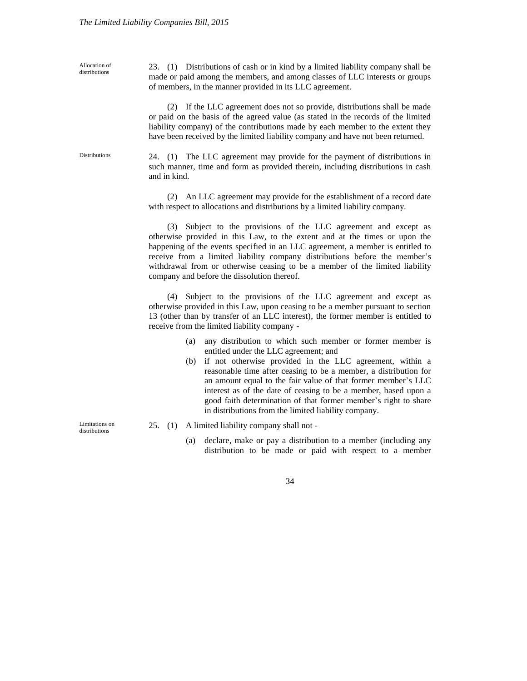23. (1) Distributions of cash or in kind by a limited liability company shall be made or paid among the members, and among classes of LLC interests or groups of members, in the manner provided in its LLC agreement. (2) If the LLC agreement does not so provide, distributions shall be made Allocation of distributions

or paid on the basis of the agreed value (as stated in the records of the limited liability company) of the contributions made by each member to the extent they have been received by the limited liability company and have not been returned.

24. (1) The LLC agreement may provide for the payment of distributions in such manner, time and form as provided therein, including distributions in cash and in kind.

(2) An LLC agreement may provide for the establishment of a record date with respect to allocations and distributions by a limited liability company.

(3) Subject to the provisions of the LLC agreement and except as otherwise provided in this Law, to the extent and at the times or upon the happening of the events specified in an LLC agreement, a member is entitled to receive from a limited liability company distributions before the member's withdrawal from or otherwise ceasing to be a member of the limited liability company and before the dissolution thereof.

(4) Subject to the provisions of the LLC agreement and except as otherwise provided in this Law, upon ceasing to be a member pursuant to section 13 (other than by transfer of an LLC interest), the former member is entitled to receive from the limited liability company -

- (a) any distribution to which such member or former member is entitled under the LLC agreement; and
- (b) if not otherwise provided in the LLC agreement, within a reasonable time after ceasing to be a member, a distribution for an amount equal to the fair value of that former member's LLC interest as of the date of ceasing to be a member, based upon a good faith determination of that former member's right to share in distributions from the limited liability company.

Limitations on distributions

Distributions

- 25. (1) A limited liability company shall not
	- (a) declare, make or pay a distribution to a member (including any distribution to be made or paid with respect to a member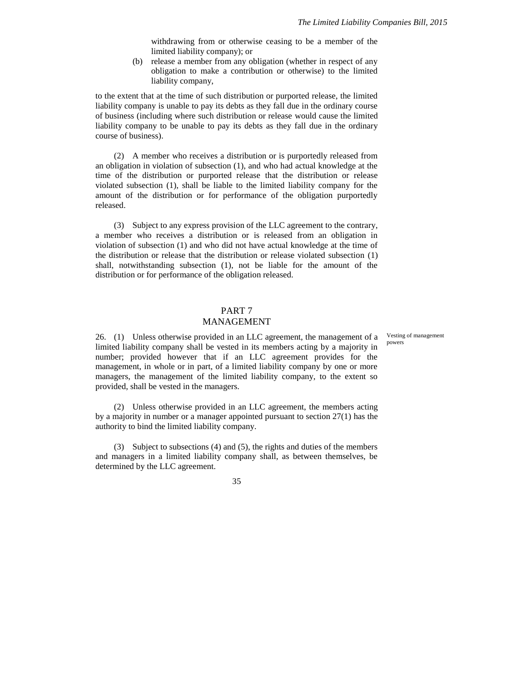withdrawing from or otherwise ceasing to be a member of the limited liability company); or

(b) release a member from any obligation (whether in respect of any obligation to make a contribution or otherwise) to the limited liability company,

to the extent that at the time of such distribution or purported release, the limited liability company is unable to pay its debts as they fall due in the ordinary course of business (including where such distribution or release would cause the limited liability company to be unable to pay its debts as they fall due in the ordinary course of business).

(2) A member who receives a distribution or is purportedly released from an obligation in violation of subsection (1), and who had actual knowledge at the time of the distribution or purported release that the distribution or release violated subsection (1), shall be liable to the limited liability company for the amount of the distribution or for performance of the obligation purportedly released.

(3) Subject to any express provision of the LLC agreement to the contrary, a member who receives a distribution or is released from an obligation in violation of subsection (1) and who did not have actual knowledge at the time of the distribution or release that the distribution or release violated subsection (1) shall, notwithstanding subsection (1), not be liable for the amount of the distribution or for performance of the obligation released.

# PART 7

## MANAGEMENT

Vesting of management powers

26. (1) Unless otherwise provided in an LLC agreement, the management of a limited liability company shall be vested in its members acting by a majority in number; provided however that if an LLC agreement provides for the management, in whole or in part, of a limited liability company by one or more managers, the management of the limited liability company, to the extent so provided, shall be vested in the managers.

(2) Unless otherwise provided in an LLC agreement, the members acting by a majority in number or a manager appointed pursuant to section 27(1) has the authority to bind the limited liability company.

(3) Subject to subsections (4) and (5), the rights and duties of the members and managers in a limited liability company shall, as between themselves, be determined by the LLC agreement.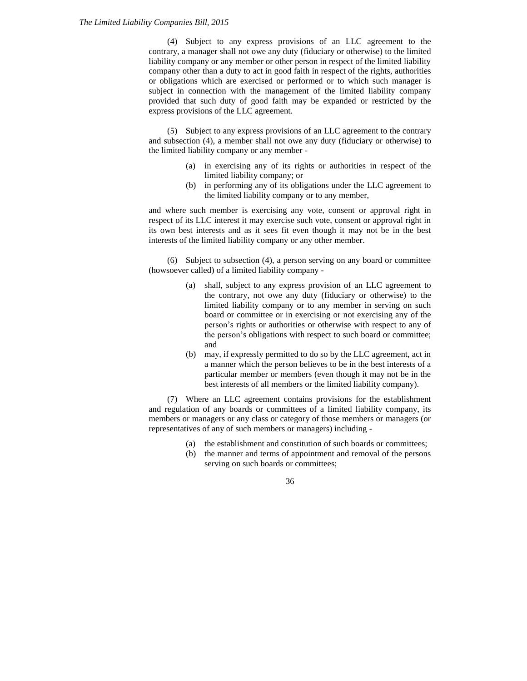(4) Subject to any express provisions of an LLC agreement to the contrary, a manager shall not owe any duty (fiduciary or otherwise) to the limited liability company or any member or other person in respect of the limited liability company other than a duty to act in good faith in respect of the rights, authorities or obligations which are exercised or performed or to which such manager is subject in connection with the management of the limited liability company provided that such duty of good faith may be expanded or restricted by the express provisions of the LLC agreement.

(5) Subject to any express provisions of an LLC agreement to the contrary and subsection (4), a member shall not owe any duty (fiduciary or otherwise) to the limited liability company or any member -

- (a) in exercising any of its rights or authorities in respect of the limited liability company; or
- (b) in performing any of its obligations under the LLC agreement to the limited liability company or to any member,

and where such member is exercising any vote, consent or approval right in respect of its LLC interest it may exercise such vote, consent or approval right in its own best interests and as it sees fit even though it may not be in the best interests of the limited liability company or any other member.

(6) Subject to subsection (4), a person serving on any board or committee (howsoever called) of a limited liability company -

- (a) shall, subject to any express provision of an LLC agreement to the contrary, not owe any duty (fiduciary or otherwise) to the limited liability company or to any member in serving on such board or committee or in exercising or not exercising any of the person's rights or authorities or otherwise with respect to any of the person's obligations with respect to such board or committee; and
- (b) may, if expressly permitted to do so by the LLC agreement, act in a manner which the person believes to be in the best interests of a particular member or members (even though it may not be in the best interests of all members or the limited liability company).

(7) Where an LLC agreement contains provisions for the establishment and regulation of any boards or committees of a limited liability company, its members or managers or any class or category of those members or managers (or representatives of any of such members or managers) including -

- (a) the establishment and constitution of such boards or committees;
- (b) the manner and terms of appointment and removal of the persons serving on such boards or committees;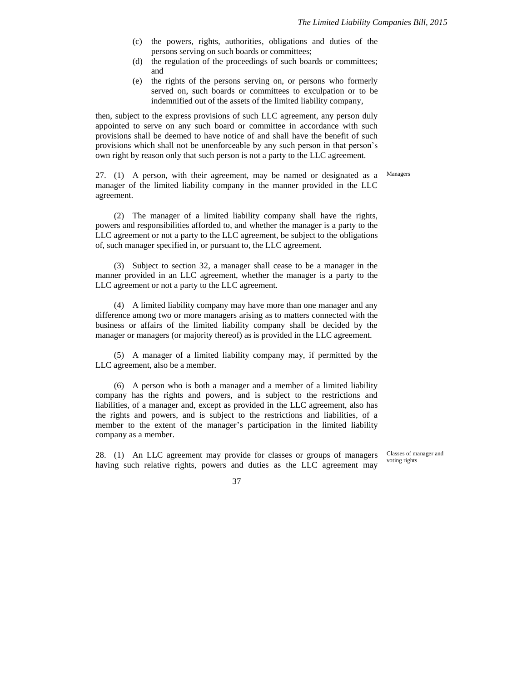- (c) the powers, rights, authorities, obligations and duties of the persons serving on such boards or committees;
- (d) the regulation of the proceedings of such boards or committees; and
- (e) the rights of the persons serving on, or persons who formerly served on, such boards or committees to exculpation or to be indemnified out of the assets of the limited liability company,

then, subject to the express provisions of such LLC agreement, any person duly appointed to serve on any such board or committee in accordance with such provisions shall be deemed to have notice of and shall have the benefit of such provisions which shall not be unenforceable by any such person in that person's own right by reason only that such person is not a party to the LLC agreement.

27. (1) A person, with their agreement, may be named or designated as a manager of the limited liability company in the manner provided in the LLC agreement.

Managers

(2) The manager of a limited liability company shall have the rights, powers and responsibilities afforded to, and whether the manager is a party to the LLC agreement or not a party to the LLC agreement, be subject to the obligations of, such manager specified in, or pursuant to, the LLC agreement.

(3) Subject to section 32, a manager shall cease to be a manager in the manner provided in an LLC agreement, whether the manager is a party to the LLC agreement or not a party to the LLC agreement.

(4) A limited liability company may have more than one manager and any difference among two or more managers arising as to matters connected with the business or affairs of the limited liability company shall be decided by the manager or managers (or majority thereof) as is provided in the LLC agreement.

(5) A manager of a limited liability company may, if permitted by the LLC agreement, also be a member.

(6) A person who is both a manager and a member of a limited liability company has the rights and powers, and is subject to the restrictions and liabilities, of a manager and, except as provided in the LLC agreement, also has the rights and powers, and is subject to the restrictions and liabilities, of a member to the extent of the manager's participation in the limited liability company as a member.

28. (1) An LLC agreement may provide for classes or groups of managers having such relative rights, powers and duties as the LLC agreement may

Classes of manager and voting rights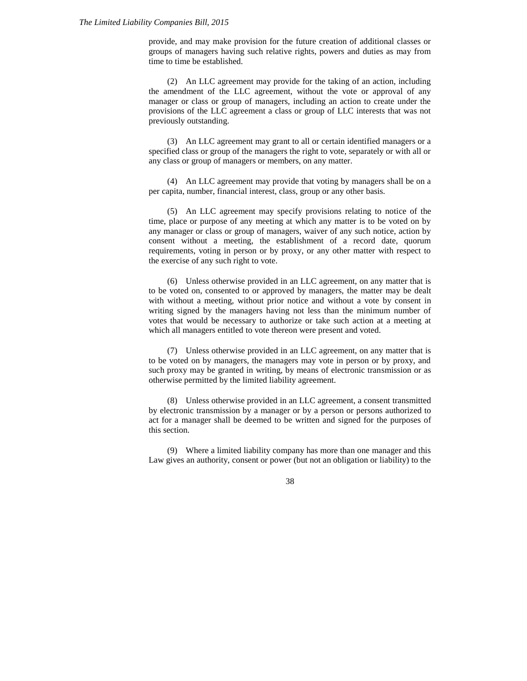provide, and may make provision for the future creation of additional classes or groups of managers having such relative rights, powers and duties as may from time to time be established.

(2) An LLC agreement may provide for the taking of an action, including the amendment of the LLC agreement, without the vote or approval of any manager or class or group of managers, including an action to create under the provisions of the LLC agreement a class or group of LLC interests that was not previously outstanding.

(3) An LLC agreement may grant to all or certain identified managers or a specified class or group of the managers the right to vote, separately or with all or any class or group of managers or members, on any matter.

(4) An LLC agreement may provide that voting by managers shall be on a per capita, number, financial interest, class, group or any other basis.

(5) An LLC agreement may specify provisions relating to notice of the time, place or purpose of any meeting at which any matter is to be voted on by any manager or class or group of managers, waiver of any such notice, action by consent without a meeting, the establishment of a record date, quorum requirements, voting in person or by proxy, or any other matter with respect to the exercise of any such right to vote.

(6) Unless otherwise provided in an LLC agreement, on any matter that is to be voted on, consented to or approved by managers, the matter may be dealt with without a meeting, without prior notice and without a vote by consent in writing signed by the managers having not less than the minimum number of votes that would be necessary to authorize or take such action at a meeting at which all managers entitled to vote thereon were present and voted.

(7) Unless otherwise provided in an LLC agreement, on any matter that is to be voted on by managers, the managers may vote in person or by proxy, and such proxy may be granted in writing, by means of electronic transmission or as otherwise permitted by the limited liability agreement.

(8) Unless otherwise provided in an LLC agreement, a consent transmitted by electronic transmission by a manager or by a person or persons authorized to act for a manager shall be deemed to be written and signed for the purposes of this section.

(9) Where a limited liability company has more than one manager and this Law gives an authority, consent or power (but not an obligation or liability) to the

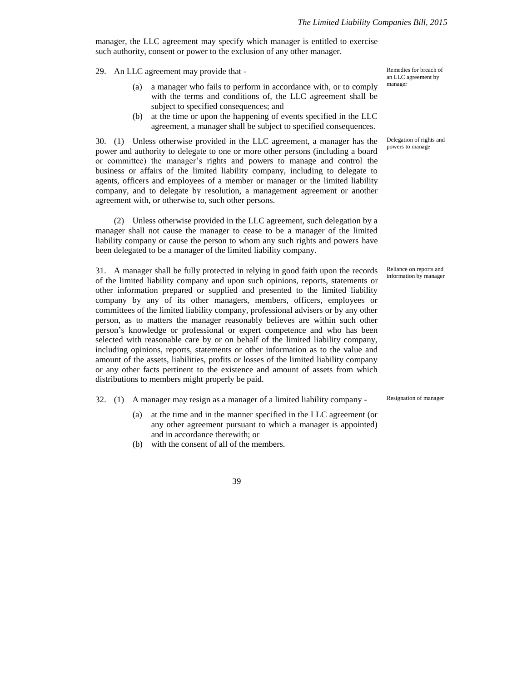manager, the LLC agreement may specify which manager is entitled to exercise such authority, consent or power to the exclusion of any other manager.

29. An LLC agreement may provide that -

- (a) a manager who fails to perform in accordance with, or to comply with the terms and conditions of, the LLC agreement shall be subject to specified consequences; and
- (b) at the time or upon the happening of events specified in the LLC agreement, a manager shall be subject to specified consequences.

30. (1) Unless otherwise provided in the LLC agreement, a manager has the power and authority to delegate to one or more other persons (including a board or committee) the manager's rights and powers to manage and control the business or affairs of the limited liability company, including to delegate to agents, officers and employees of a member or manager or the limited liability company, and to delegate by resolution, a management agreement or another agreement with, or otherwise to, such other persons.

(2) Unless otherwise provided in the LLC agreement, such delegation by a manager shall not cause the manager to cease to be a manager of the limited liability company or cause the person to whom any such rights and powers have been delegated to be a manager of the limited liability company.

31. A manager shall be fully protected in relying in good faith upon the records of the limited liability company and upon such opinions, reports, statements or other information prepared or supplied and presented to the limited liability company by any of its other managers, members, officers, employees or committees of the limited liability company, professional advisers or by any other person, as to matters the manager reasonably believes are within such other person's knowledge or professional or expert competence and who has been selected with reasonable care by or on behalf of the limited liability company, including opinions, reports, statements or other information as to the value and amount of the assets, liabilities, profits or losses of the limited liability company or any other facts pertinent to the existence and amount of assets from which distributions to members might properly be paid.

32. (1) A manager may resign as a manager of a limited liability company -

- (a) at the time and in the manner specified in the LLC agreement (or any other agreement pursuant to which a manager is appointed) and in accordance therewith; or
- (b) with the consent of all of the members.

Remedies for breach of an LLC agreement by manager

Delegation of rights and powers to manage

Reliance on reports and information by manager

Resignation of manager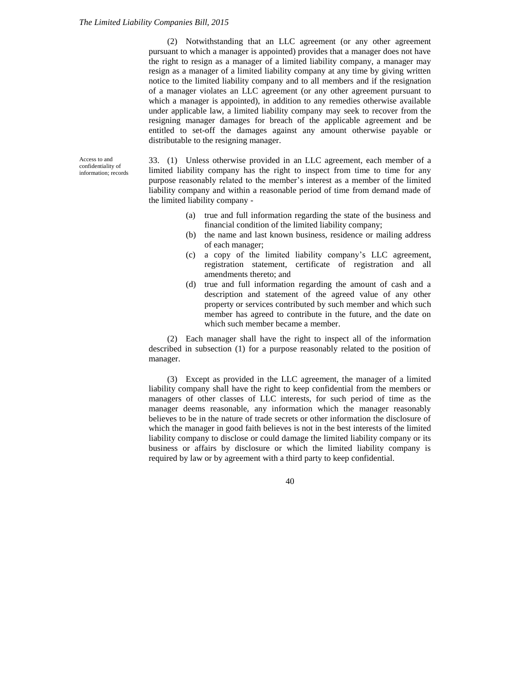(2) Notwithstanding that an LLC agreement (or any other agreement pursuant to which a manager is appointed) provides that a manager does not have the right to resign as a manager of a limited liability company, a manager may resign as a manager of a limited liability company at any time by giving written notice to the limited liability company and to all members and if the resignation of a manager violates an LLC agreement (or any other agreement pursuant to which a manager is appointed), in addition to any remedies otherwise available under applicable law, a limited liability company may seek to recover from the resigning manager damages for breach of the applicable agreement and be entitled to set-off the damages against any amount otherwise payable or distributable to the resigning manager.

Access to and confidentiality of information; records 33. (1) Unless otherwise provided in an LLC agreement, each member of a limited liability company has the right to inspect from time to time for any purpose reasonably related to the member's interest as a member of the limited liability company and within a reasonable period of time from demand made of the limited liability company -

- (a) true and full information regarding the state of the business and financial condition of the limited liability company;
- (b) the name and last known business, residence or mailing address of each manager;
- (c) a copy of the limited liability company's LLC agreement, registration statement, certificate of registration and all amendments thereto; and
- (d) true and full information regarding the amount of cash and a description and statement of the agreed value of any other property or services contributed by such member and which such member has agreed to contribute in the future, and the date on which such member became a member.

(2) Each manager shall have the right to inspect all of the information described in subsection (1) for a purpose reasonably related to the position of manager.

(3) Except as provided in the LLC agreement, the manager of a limited liability company shall have the right to keep confidential from the members or managers of other classes of LLC interests, for such period of time as the manager deems reasonable, any information which the manager reasonably believes to be in the nature of trade secrets or other information the disclosure of which the manager in good faith believes is not in the best interests of the limited liability company to disclose or could damage the limited liability company or its business or affairs by disclosure or which the limited liability company is required by law or by agreement with a third party to keep confidential.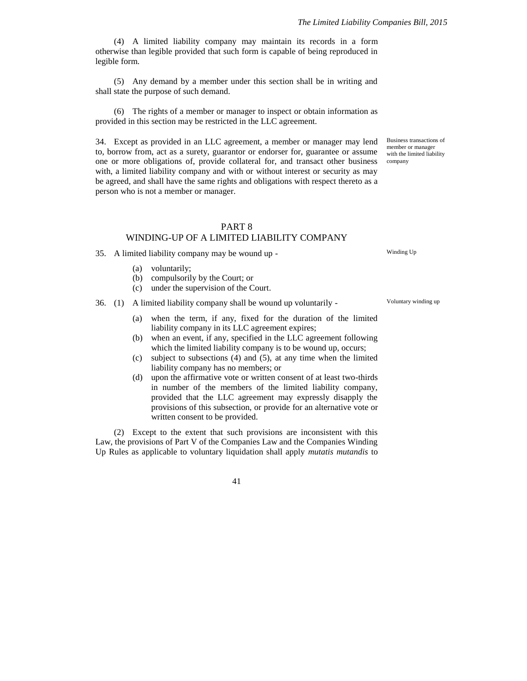(4) A limited liability company may maintain its records in a form otherwise than legible provided that such form is capable of being reproduced in legible form.

(5) Any demand by a member under this section shall be in writing and shall state the purpose of such demand.

(6) The rights of a member or manager to inspect or obtain information as provided in this section may be restricted in the LLC agreement.

34. Except as provided in an LLC agreement, a member or manager may lend to, borrow from, act as a surety, guarantor or endorser for, guarantee or assume one or more obligations of, provide collateral for, and transact other business with, a limited liability company and with or without interest or security as may be agreed, and shall have the same rights and obligations with respect thereto as a person who is not a member or manager.

## PART 8

### WINDING-UP OF A LIMITED LIABILITY COMPANY

35. A limited liability company may be wound up -

- (a) voluntarily;
- (b) compulsorily by the Court; or
- (c) under the supervision of the Court.

36. (1) A limited liability company shall be wound up voluntarily -

- (a) when the term, if any, fixed for the duration of the limited liability company in its LLC agreement expires;
- (b) when an event, if any, specified in the LLC agreement following which the limited liability company is to be wound up, occurs;
- (c) subject to subsections (4) and (5), at any time when the limited liability company has no members; or
- (d) upon the affirmative vote or written consent of at least two-thirds in number of the members of the limited liability company, provided that the LLC agreement may expressly disapply the provisions of this subsection, or provide for an alternative vote or written consent to be provided.

(2) Except to the extent that such provisions are inconsistent with this Law, the provisions of Part V of the Companies Law and the Companies Winding Up Rules as applicable to voluntary liquidation shall apply *mutatis mutandis* to

41

Business transactions of member or manager with the limited liability company

Winding Up

Voluntary winding up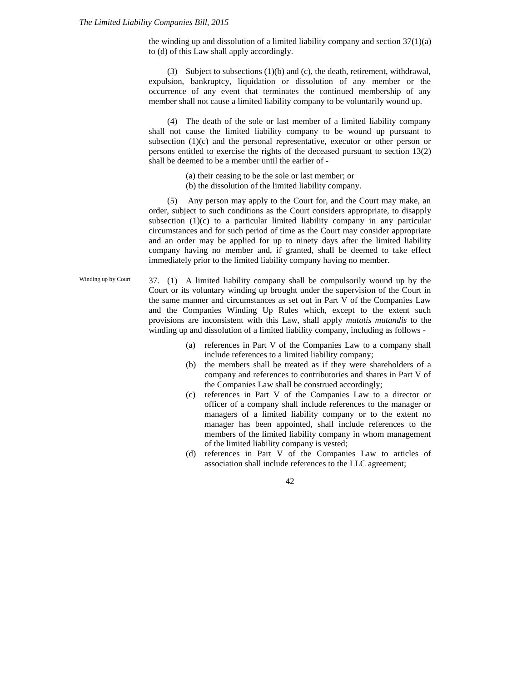the winding up and dissolution of a limited liability company and section  $37(1)(a)$ to (d) of this Law shall apply accordingly.

(3) Subject to subsections (1)(b) and (c), the death, retirement, withdrawal, expulsion, bankruptcy, liquidation or dissolution of any member or the occurrence of any event that terminates the continued membership of any member shall not cause a limited liability company to be voluntarily wound up.

(4) The death of the sole or last member of a limited liability company shall not cause the limited liability company to be wound up pursuant to subsection (1)(c) and the personal representative, executor or other person or persons entitled to exercise the rights of the deceased pursuant to section 13(2) shall be deemed to be a member until the earlier of -

- (a) their ceasing to be the sole or last member; or
- (b) the dissolution of the limited liability company.

(5) Any person may apply to the Court for, and the Court may make, an order, subject to such conditions as the Court considers appropriate, to disapply subsection  $(1)(c)$  to a particular limited liability company in any particular circumstances and for such period of time as the Court may consider appropriate and an order may be applied for up to ninety days after the limited liability company having no member and, if granted, shall be deemed to take effect immediately prior to the limited liability company having no member.

37. (1) A limited liability company shall be compulsorily wound up by the Court or its voluntary winding up brought under the supervision of the Court in the same manner and circumstances as set out in Part V of the Companies Law and the Companies Winding Up Rules which, except to the extent such provisions are inconsistent with this Law, shall apply *mutatis mutandis* to the winding up and dissolution of a limited liability company, including as follows - Winding up by Court

- (a) references in Part V of the Companies Law to a company shall include references to a limited liability company;
- (b) the members shall be treated as if they were shareholders of a company and references to contributories and shares in Part V of the Companies Law shall be construed accordingly;
- (c) references in Part V of the Companies Law to a director or officer of a company shall include references to the manager or managers of a limited liability company or to the extent no manager has been appointed, shall include references to the members of the limited liability company in whom management of the limited liability company is vested;
- (d) references in Part V of the Companies Law to articles of association shall include references to the LLC agreement;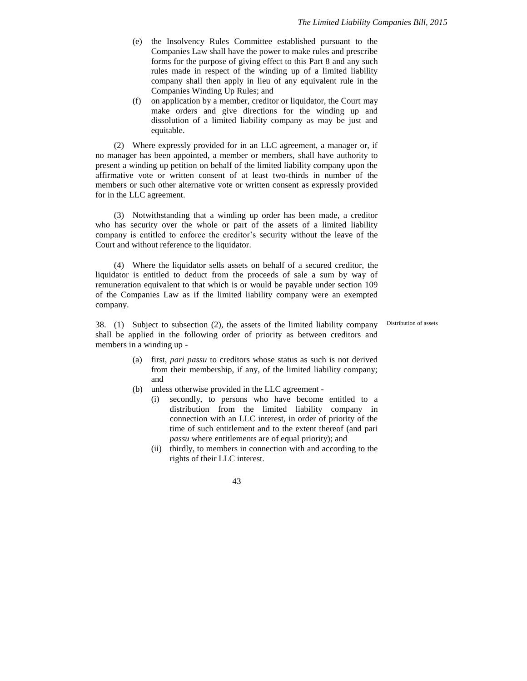- (e) the Insolvency Rules Committee established pursuant to the Companies Law shall have the power to make rules and prescribe forms for the purpose of giving effect to this Part 8 and any such rules made in respect of the winding up of a limited liability company shall then apply in lieu of any equivalent rule in the Companies Winding Up Rules; and
- (f) on application by a member, creditor or liquidator, the Court may make orders and give directions for the winding up and dissolution of a limited liability company as may be just and equitable.

(2) Where expressly provided for in an LLC agreement, a manager or, if no manager has been appointed, a member or members, shall have authority to present a winding up petition on behalf of the limited liability company upon the affirmative vote or written consent of at least two-thirds in number of the members or such other alternative vote or written consent as expressly provided for in the LLC agreement.

(3) Notwithstanding that a winding up order has been made, a creditor who has security over the whole or part of the assets of a limited liability company is entitled to enforce the creditor's security without the leave of the Court and without reference to the liquidator.

(4) Where the liquidator sells assets on behalf of a secured creditor, the liquidator is entitled to deduct from the proceeds of sale a sum by way of remuneration equivalent to that which is or would be payable under section 109 of the Companies Law as if the limited liability company were an exempted company.

Distribution of assets

- 38. (1) Subject to subsection (2), the assets of the limited liability company shall be applied in the following order of priority as between creditors and members in a winding up -
	- (a) first, *pari passu* to creditors whose status as such is not derived from their membership, if any, of the limited liability company; and
	- (b) unless otherwise provided in the LLC agreement
		- (i) secondly, to persons who have become entitled to a distribution from the limited liability company in connection with an LLC interest, in order of priority of the time of such entitlement and to the extent thereof (and pari *passu* where entitlements are of equal priority); and
		- (ii) thirdly, to members in connection with and according to the rights of their LLC interest.

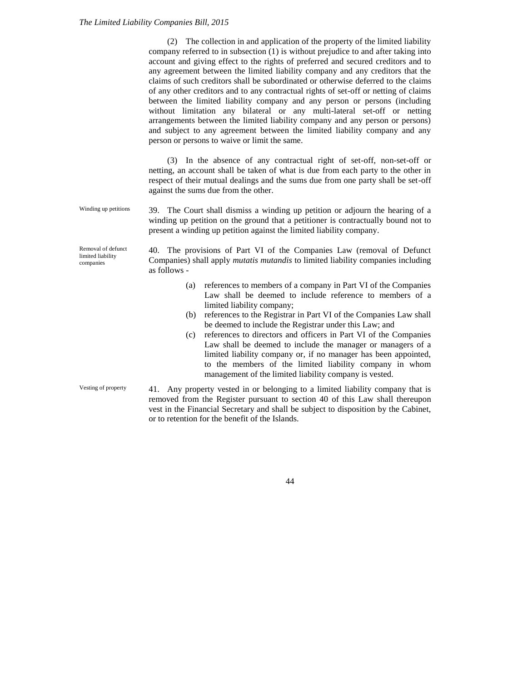(2) The collection in and application of the property of the limited liability company referred to in subsection (1) is without prejudice to and after taking into account and giving effect to the rights of preferred and secured creditors and to any agreement between the limited liability company and any creditors that the claims of such creditors shall be subordinated or otherwise deferred to the claims of any other creditors and to any contractual rights of set-off or netting of claims between the limited liability company and any person or persons (including without limitation any bilateral or any multi-lateral set-off or netting arrangements between the limited liability company and any person or persons) and subject to any agreement between the limited liability company and any person or persons to waive or limit the same.

(3) In the absence of any contractual right of set-off, non-set-off or netting, an account shall be taken of what is due from each party to the other in respect of their mutual dealings and the sums due from one party shall be set-off against the sums due from the other.

39. The Court shall dismiss a winding up petition or adjourn the hearing of a winding up petition on the ground that a petitioner is contractually bound not to present a winding up petition against the limited liability company. Winding up petitions

Removal of defunct limited liability companies

40. The provisions of Part VI of the Companies Law (removal of Defunct Companies) shall apply *mutatis mutandis* to limited liability companies including as follows -

- (a) references to members of a company in Part VI of the Companies Law shall be deemed to include reference to members of a limited liability company;
- (b) references to the Registrar in Part VI of the Companies Law shall be deemed to include the Registrar under this Law; and
- (c) references to directors and officers in Part VI of the Companies Law shall be deemed to include the manager or managers of a limited liability company or, if no manager has been appointed, to the members of the limited liability company in whom management of the limited liability company is vested.
- 41. Any property vested in or belonging to a limited liability company that is removed from the Register pursuant to section 40 of this Law shall thereupon vest in the Financial Secretary and shall be subject to disposition by the Cabinet, or to retention for the benefit of the Islands. Vesting of property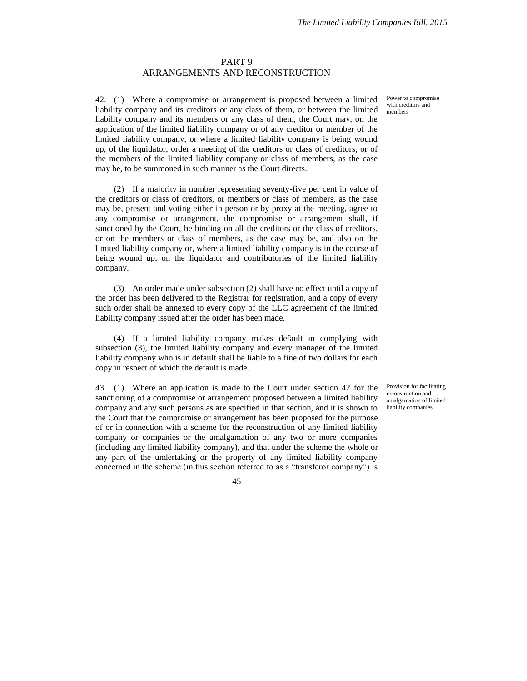# ARRANGEMENTS AND RECONSTRUCTION

42. (1) Where a compromise or arrangement is proposed between a limited liability company and its creditors or any class of them, or between the limited liability company and its members or any class of them, the Court may, on the application of the limited liability company or of any creditor or member of the limited liability company, or where a limited liability company is being wound up, of the liquidator, order a meeting of the creditors or class of creditors, or of the members of the limited liability company or class of members, as the case may be, to be summoned in such manner as the Court directs.

(2) If a majority in number representing seventy-five per cent in value of the creditors or class of creditors, or members or class of members, as the case may be, present and voting either in person or by proxy at the meeting, agree to any compromise or arrangement, the compromise or arrangement shall, if sanctioned by the Court, be binding on all the creditors or the class of creditors, or on the members or class of members, as the case may be, and also on the limited liability company or, where a limited liability company is in the course of being wound up, on the liquidator and contributories of the limited liability company.

(3) An order made under subsection (2) shall have no effect until a copy of the order has been delivered to the Registrar for registration, and a copy of every such order shall be annexed to every copy of the LLC agreement of the limited liability company issued after the order has been made.

(4) If a limited liability company makes default in complying with subsection (3), the limited liability company and every manager of the limited liability company who is in default shall be liable to a fine of two dollars for each copy in respect of which the default is made.

43. (1) Where an application is made to the Court under section 42 for the sanctioning of a compromise or arrangement proposed between a limited liability company and any such persons as are specified in that section, and it is shown to the Court that the compromise or arrangement has been proposed for the purpose of or in connection with a scheme for the reconstruction of any limited liability company or companies or the amalgamation of any two or more companies (including any limited liability company), and that under the scheme the whole or any part of the undertaking or the property of any limited liability company concerned in the scheme (in this section referred to as a "transferor company") is

Provision for facilitating reconstruction and amalgamation of limited liability companies

Power to compromise with creditors and members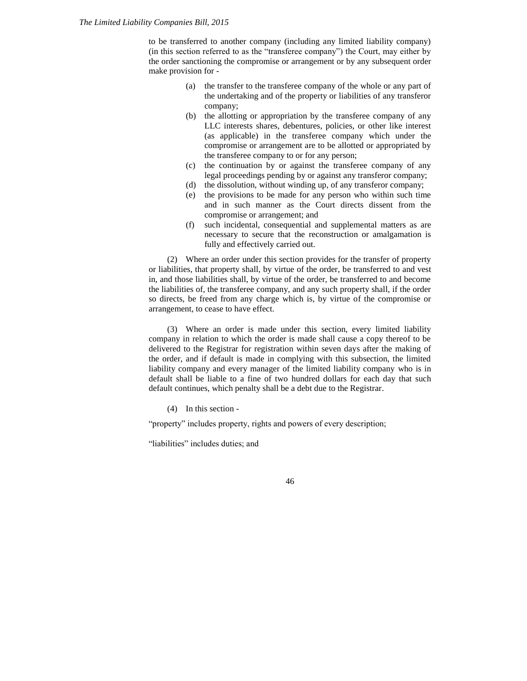to be transferred to another company (including any limited liability company) (in this section referred to as the "transferee company") the Court, may either by the order sanctioning the compromise or arrangement or by any subsequent order make provision for -

- (a) the transfer to the transferee company of the whole or any part of the undertaking and of the property or liabilities of any transferor company;
- (b) the allotting or appropriation by the transferee company of any LLC interests shares, debentures, policies, or other like interest (as applicable) in the transferee company which under the compromise or arrangement are to be allotted or appropriated by the transferee company to or for any person;
- (c) the continuation by or against the transferee company of any legal proceedings pending by or against any transferor company;
- (d) the dissolution, without winding up, of any transferor company;
- (e) the provisions to be made for any person who within such time and in such manner as the Court directs dissent from the compromise or arrangement; and
- (f) such incidental, consequential and supplemental matters as are necessary to secure that the reconstruction or amalgamation is fully and effectively carried out.

(2) Where an order under this section provides for the transfer of property or liabilities, that property shall, by virtue of the order, be transferred to and vest in, and those liabilities shall, by virtue of the order, be transferred to and become the liabilities of, the transferee company, and any such property shall, if the order so directs, be freed from any charge which is, by virtue of the compromise or arrangement, to cease to have effect.

(3) Where an order is made under this section, every limited liability company in relation to which the order is made shall cause a copy thereof to be delivered to the Registrar for registration within seven days after the making of the order, and if default is made in complying with this subsection, the limited liability company and every manager of the limited liability company who is in default shall be liable to a fine of two hundred dollars for each day that such default continues, which penalty shall be a debt due to the Registrar.

(4) In this section -

"property" includes property, rights and powers of every description;

"liabilities" includes duties; and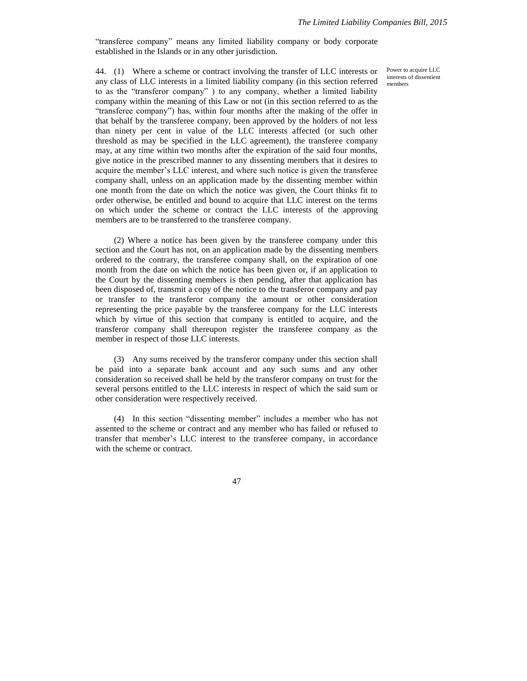"transferee company" means any limited liability company or body corporate established in the Islands or in any other jurisdiction.

44. (1) Where a scheme or contract involving the transfer of LLC interests or any class of LLC interests in a limited liability company (in this section referred to as the "transferor company" ) to any company, whether a limited liability company within the meaning of this Law or not (in this section referred to as the "transferee company") has, within four months after the making of the offer in that behalf by the transferee company, been approved by the holders of not less than ninety per cent in value of the LLC interests affected (or such other threshold as may be specified in the LLC agreement), the transferee company may, at any time within two months after the expiration of the said four months, give notice in the prescribed manner to any dissenting members that it desires to acquire the member's LLC interest, and where such notice is given the transferee company shall, unless on an application made by the dissenting member within one month from the date on which the notice was given, the Court thinks fit to order otherwise, be entitled and bound to acquire that LLC interest on the terms on which under the scheme or contract the LLC interests of the approving members are to be transferred to the transferee company.

(2) Where a notice has been given by the transferee company under this section and the Court has not, on an application made by the dissenting members ordered to the contrary, the transferee company shall, on the expiration of one month from the date on which the notice has been given or, if an application to the Court by the dissenting members is then pending, after that application has been disposed of, transmit a copy of the notice to the transferor company and pay or transfer to the transferor company the amount or other consideration representing the price payable by the transferee company for the LLC interests which by virtue of this section that company is entitled to acquire, and the transferor company shall thereupon register the transferee company as the member in respect of those LLC interests.

(3) Any sums received by the transferor company under this section shall be paid into a separate bank account and any such sums and any other consideration so received shall be held by the transferor company on trust for the several persons entitled to the LLC interests in respect of which the said sum or other consideration were respectively received.

(4) In this section "dissenting member" includes a member who has not assented to the scheme or contract and any member who has failed or refused to transfer that member's LLC interest to the transferee company, in accordance with the scheme or contract.

47

Power to acquire LLC interests of dissentient members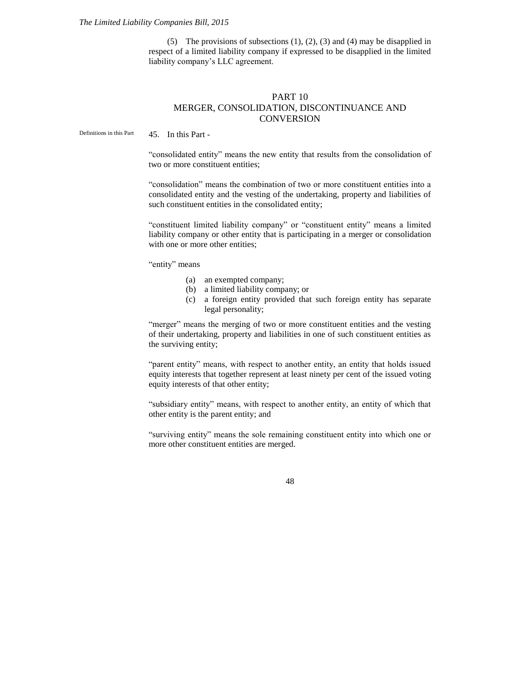*The Limited Liability Companies Bill, 2015*

(5) The provisions of subsections (1), (2), (3) and (4) may be disapplied in respect of a limited liability company if expressed to be disapplied in the limited liability company's LLC agreement.

### PART 10 MERGER, CONSOLIDATION, DISCONTINUANCE AND **CONVERSION**

45. In this Part - Definitions in this Part

> "consolidated entity" means the new entity that results from the consolidation of two or more constituent entities;

> "consolidation" means the combination of two or more constituent entities into a consolidated entity and the vesting of the undertaking, property and liabilities of such constituent entities in the consolidated entity;

> "constituent limited liability company" or "constituent entity" means a limited liability company or other entity that is participating in a merger or consolidation with one or more other entities;

"entity" means

- (a) an exempted company;
- (b) a limited liability company; or
- (c) a foreign entity provided that such foreign entity has separate legal personality;

"merger" means the merging of two or more constituent entities and the vesting of their undertaking, property and liabilities in one of such constituent entities as the surviving entity;

"parent entity" means, with respect to another entity, an entity that holds issued equity interests that together represent at least ninety per cent of the issued voting equity interests of that other entity;

"subsidiary entity" means, with respect to another entity, an entity of which that other entity is the parent entity; and

"surviving entity" means the sole remaining constituent entity into which one or more other constituent entities are merged.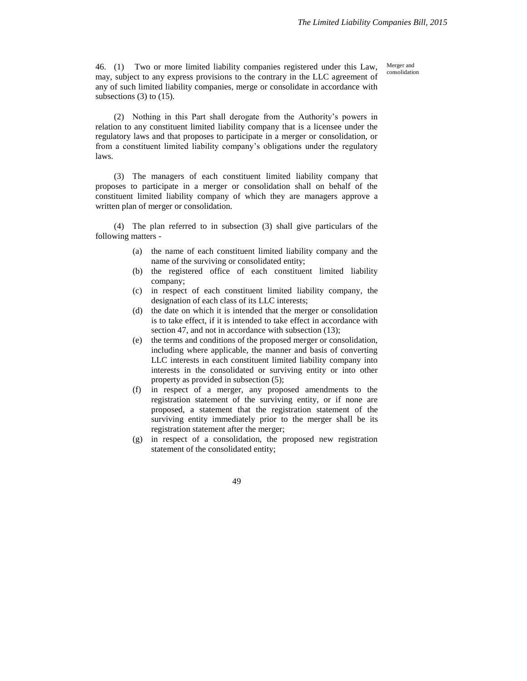Merger and consolidation

46. (1) Two or more limited liability companies registered under this Law, may, subject to any express provisions to the contrary in the LLC agreement of any of such limited liability companies, merge or consolidate in accordance with subsections  $(3)$  to  $(15)$ .

(2) Nothing in this Part shall derogate from the Authority's powers in relation to any constituent limited liability company that is a licensee under the regulatory laws and that proposes to participate in a merger or consolidation, or from a constituent limited liability company's obligations under the regulatory laws.

(3) The managers of each constituent limited liability company that proposes to participate in a merger or consolidation shall on behalf of the constituent limited liability company of which they are managers approve a written plan of merger or consolidation.

(4) The plan referred to in subsection (3) shall give particulars of the following matters -

- (a) the name of each constituent limited liability company and the name of the surviving or consolidated entity;
- (b) the registered office of each constituent limited liability company;
- (c) in respect of each constituent limited liability company, the designation of each class of its LLC interests;
- (d) the date on which it is intended that the merger or consolidation is to take effect, if it is intended to take effect in accordance with section 47, and not in accordance with subsection (13);
- (e) the terms and conditions of the proposed merger or consolidation, including where applicable, the manner and basis of converting LLC interests in each constituent limited liability company into interests in the consolidated or surviving entity or into other property as provided in subsection (5);
- (f) in respect of a merger, any proposed amendments to the registration statement of the surviving entity, or if none are proposed, a statement that the registration statement of the surviving entity immediately prior to the merger shall be its registration statement after the merger;
- (g) in respect of a consolidation, the proposed new registration statement of the consolidated entity;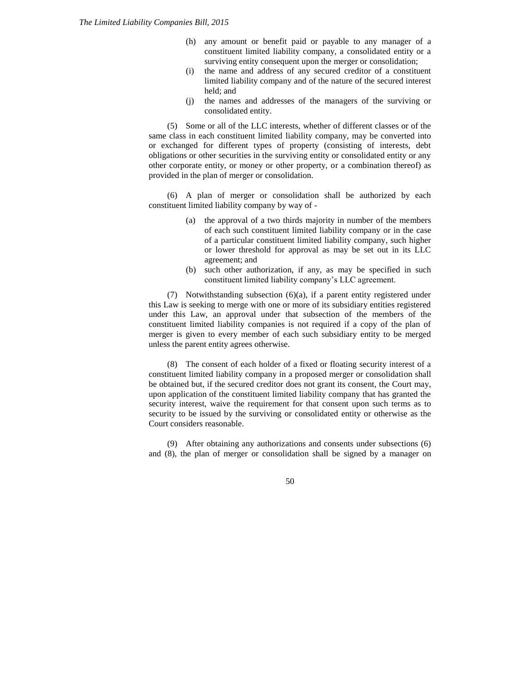- (h) any amount or benefit paid or payable to any manager of a constituent limited liability company, a consolidated entity or a surviving entity consequent upon the merger or consolidation;
- (i) the name and address of any secured creditor of a constituent limited liability company and of the nature of the secured interest held; and
- (j) the names and addresses of the managers of the surviving or consolidated entity.

(5) Some or all of the LLC interests, whether of different classes or of the same class in each constituent limited liability company, may be converted into or exchanged for different types of property (consisting of interests, debt obligations or other securities in the surviving entity or consolidated entity or any other corporate entity, or money or other property, or a combination thereof) as provided in the plan of merger or consolidation.

(6) A plan of merger or consolidation shall be authorized by each constituent limited liability company by way of -

- (a) the approval of a two thirds majority in number of the members of each such constituent limited liability company or in the case of a particular constituent limited liability company, such higher or lower threshold for approval as may be set out in its LLC agreement; and
- (b) such other authorization, if any, as may be specified in such constituent limited liability company's LLC agreement.

(7) Notwithstanding subsection (6)(a), if a parent entity registered under this Law is seeking to merge with one or more of its subsidiary entities registered under this Law, an approval under that subsection of the members of the constituent limited liability companies is not required if a copy of the plan of merger is given to every member of each such subsidiary entity to be merged unless the parent entity agrees otherwise.

(8) The consent of each holder of a fixed or floating security interest of a constituent limited liability company in a proposed merger or consolidation shall be obtained but, if the secured creditor does not grant its consent, the Court may, upon application of the constituent limited liability company that has granted the security interest, waive the requirement for that consent upon such terms as to security to be issued by the surviving or consolidated entity or otherwise as the Court considers reasonable.

(9) After obtaining any authorizations and consents under subsections (6) and (8), the plan of merger or consolidation shall be signed by a manager on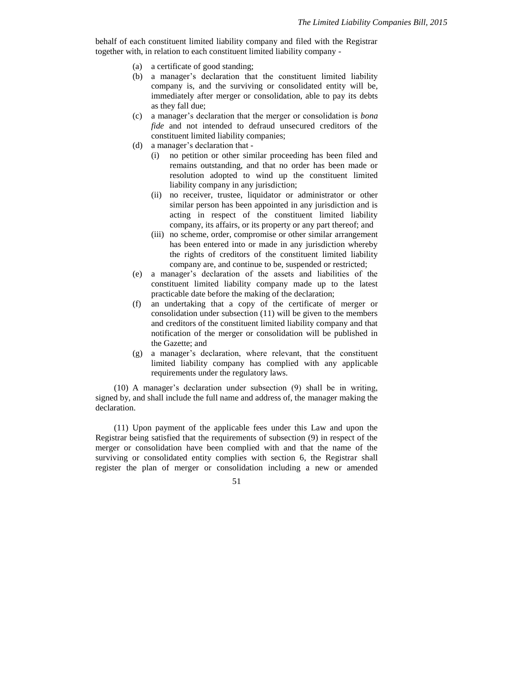behalf of each constituent limited liability company and filed with the Registrar together with, in relation to each constituent limited liability company -

- (a) a certificate of good standing;
- (b) a manager's declaration that the constituent limited liability company is, and the surviving or consolidated entity will be, immediately after merger or consolidation, able to pay its debts as they fall due;
- (c) a manager's declaration that the merger or consolidation is *bona fide* and not intended to defraud unsecured creditors of the constituent limited liability companies;
- (d) a manager's declaration that
	- (i) no petition or other similar proceeding has been filed and remains outstanding, and that no order has been made or resolution adopted to wind up the constituent limited liability company in any jurisdiction;
	- (ii) no receiver, trustee, liquidator or administrator or other similar person has been appointed in any jurisdiction and is acting in respect of the constituent limited liability company, its affairs, or its property or any part thereof; and
	- (iii) no scheme, order, compromise or other similar arrangement has been entered into or made in any jurisdiction whereby the rights of creditors of the constituent limited liability company are, and continue to be, suspended or restricted;
- (e) a manager's declaration of the assets and liabilities of the constituent limited liability company made up to the latest practicable date before the making of the declaration;
- (f) an undertaking that a copy of the certificate of merger or consolidation under subsection (11) will be given to the members and creditors of the constituent limited liability company and that notification of the merger or consolidation will be published in the Gazette; and
- (g) a manager's declaration, where relevant, that the constituent limited liability company has complied with any applicable requirements under the regulatory laws.

(10) A manager's declaration under subsection (9) shall be in writing, signed by, and shall include the full name and address of, the manager making the declaration.

(11) Upon payment of the applicable fees under this Law and upon the Registrar being satisfied that the requirements of subsection (9) in respect of the merger or consolidation have been complied with and that the name of the surviving or consolidated entity complies with section 6, the Registrar shall register the plan of merger or consolidation including a new or amended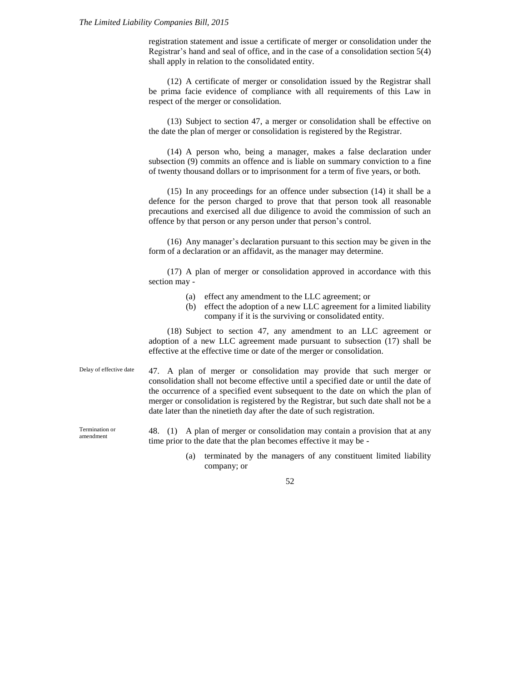#### *The Limited Liability Companies Bill, 2015*

registration statement and issue a certificate of merger or consolidation under the Registrar's hand and seal of office, and in the case of a consolidation section 5(4) shall apply in relation to the consolidated entity.

(12) A certificate of merger or consolidation issued by the Registrar shall be prima facie evidence of compliance with all requirements of this Law in respect of the merger or consolidation.

(13) Subject to section 47, a merger or consolidation shall be effective on the date the plan of merger or consolidation is registered by the Registrar.

(14) A person who, being a manager, makes a false declaration under subsection (9) commits an offence and is liable on summary conviction to a fine of twenty thousand dollars or to imprisonment for a term of five years, or both.

(15) In any proceedings for an offence under subsection (14) it shall be a defence for the person charged to prove that that person took all reasonable precautions and exercised all due diligence to avoid the commission of such an offence by that person or any person under that person's control.

(16) Any manager's declaration pursuant to this section may be given in the form of a declaration or an affidavit, as the manager may determine.

(17) A plan of merger or consolidation approved in accordance with this section may -

- (a) effect any amendment to the LLC agreement; or
- (b) effect the adoption of a new LLC agreement for a limited liability company if it is the surviving or consolidated entity.

(18) Subject to section 47, any amendment to an LLC agreement or adoption of a new LLC agreement made pursuant to subsection (17) shall be effective at the effective time or date of the merger or consolidation.

Delay of effective date

47. A plan of merger or consolidation may provide that such merger or consolidation shall not become effective until a specified date or until the date of the occurrence of a specified event subsequent to the date on which the plan of merger or consolidation is registered by the Registrar, but such date shall not be a date later than the ninetieth day after the date of such registration.

48. (1) A plan of merger or consolidation may contain a provision that at any time prior to the date that the plan becomes effective it may be -

> (a) terminated by the managers of any constituent limited liability company; or

> > 52

Termination or amendment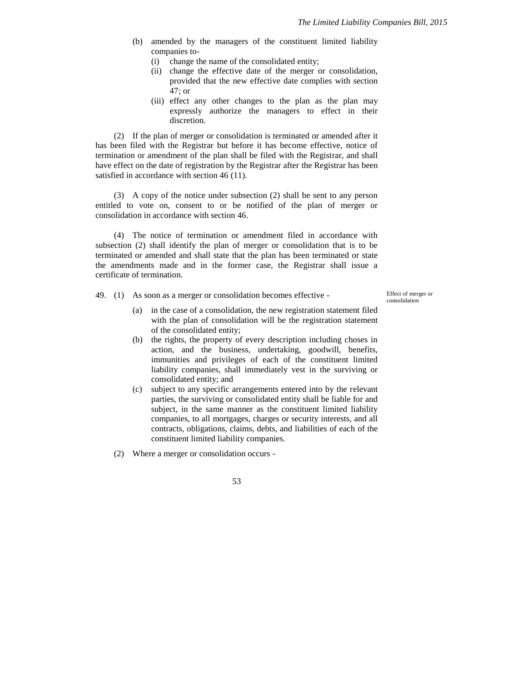- (b) amended by the managers of the constituent limited liability companies to-
	- (i) change the name of the consolidated entity;
	- (ii) change the effective date of the merger or consolidation, provided that the new effective date complies with section 47; or
	- (iii) effect any other changes to the plan as the plan may expressly authorize the managers to effect in their discretion.

(2) If the plan of merger or consolidation is terminated or amended after it has been filed with the Registrar but before it has become effective, notice of termination or amendment of the plan shall be filed with the Registrar, and shall have effect on the date of registration by the Registrar after the Registrar has been satisfied in accordance with section 46 (11).

(3) A copy of the notice under subsection (2) shall be sent to any person entitled to vote on, consent to or be notified of the plan of merger or consolidation in accordance with section 46.

(4) The notice of termination or amendment filed in accordance with subsection (2) shall identify the plan of merger or consolidation that is to be terminated or amended and shall state that the plan has been terminated or state the amendments made and in the former case, the Registrar shall issue a certificate of termination.

49. (1) As soon as a merger or consolidation becomes effective -

Effect of merger or consolidation

- (a) in the case of a consolidation, the new registration statement filed with the plan of consolidation will be the registration statement of the consolidated entity;
- (b) the rights, the property of every description including choses in action, and the business, undertaking, goodwill, benefits, immunities and privileges of each of the constituent limited liability companies, shall immediately vest in the surviving or consolidated entity; and
- (c) subject to any specific arrangements entered into by the relevant parties, the surviving or consolidated entity shall be liable for and subject, in the same manner as the constituent limited liability companies, to all mortgages, charges or security interests, and all contracts, obligations, claims, debts, and liabilities of each of the constituent limited liability companies.
- (2) Where a merger or consolidation occurs -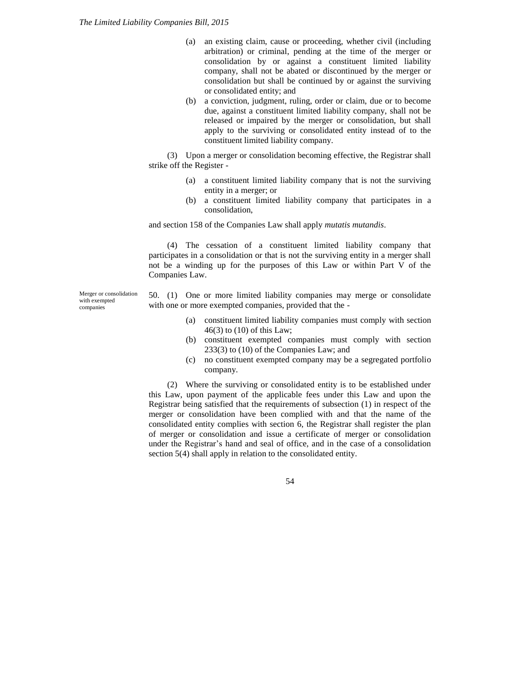- (a) an existing claim, cause or proceeding, whether civil (including arbitration) or criminal, pending at the time of the merger or consolidation by or against a constituent limited liability company, shall not be abated or discontinued by the merger or consolidation but shall be continued by or against the surviving or consolidated entity; and
- (b) a conviction, judgment, ruling, order or claim, due or to become due, against a constituent limited liability company, shall not be released or impaired by the merger or consolidation, but shall apply to the surviving or consolidated entity instead of to the constituent limited liability company.

(3) Upon a merger or consolidation becoming effective, the Registrar shall strike off the Register -

- (a) a constituent limited liability company that is not the surviving entity in a merger; or
- (b) a constituent limited liability company that participates in a consolidation,

and section 158 of the Companies Law shall apply *mutatis mutandis*.

(4) The cessation of a constituent limited liability company that participates in a consolidation or that is not the surviving entity in a merger shall not be a winding up for the purposes of this Law or within Part V of the Companies Law.

Merger or consolidation with exempted companies

50. (1) One or more limited liability companies may merge or consolidate with one or more exempted companies, provided that the -

- (a) constituent limited liability companies must comply with section 46(3) to (10) of this Law;
- (b) constituent exempted companies must comply with section 233(3) to (10) of the Companies Law; and
- (c) no constituent exempted company may be a segregated portfolio company.

(2) Where the surviving or consolidated entity is to be established under this Law, upon payment of the applicable fees under this Law and upon the Registrar being satisfied that the requirements of subsection (1) in respect of the merger or consolidation have been complied with and that the name of the consolidated entity complies with section 6, the Registrar shall register the plan of merger or consolidation and issue a certificate of merger or consolidation under the Registrar's hand and seal of office, and in the case of a consolidation section 5(4) shall apply in relation to the consolidated entity.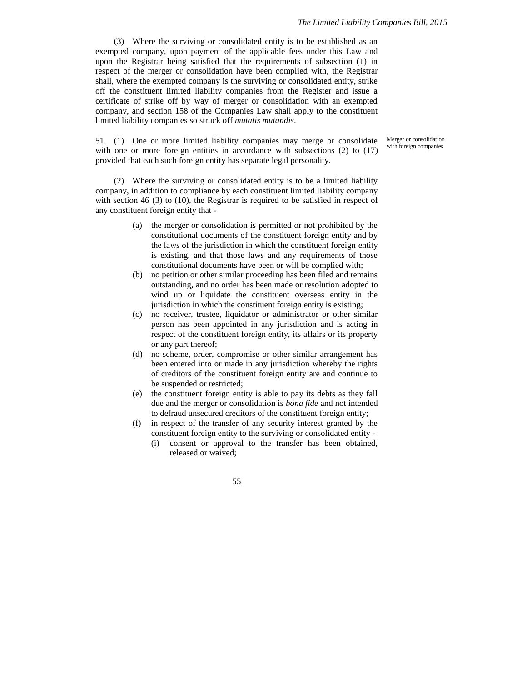(3) Where the surviving or consolidated entity is to be established as an exempted company, upon payment of the applicable fees under this Law and upon the Registrar being satisfied that the requirements of subsection (1) in respect of the merger or consolidation have been complied with, the Registrar shall, where the exempted company is the surviving or consolidated entity, strike off the constituent limited liability companies from the Register and issue a certificate of strike off by way of merger or consolidation with an exempted company, and section 158 of the Companies Law shall apply to the constituent limited liability companies so struck off *mutatis mutandis*.

51. (1) One or more limited liability companies may merge or consolidate with one or more foreign entities in accordance with subsections (2) to (17) provided that each such foreign entity has separate legal personality.

(2) Where the surviving or consolidated entity is to be a limited liability company, in addition to compliance by each constituent limited liability company with section 46 (3) to (10), the Registrar is required to be satisfied in respect of any constituent foreign entity that -

- (a) the merger or consolidation is permitted or not prohibited by the constitutional documents of the constituent foreign entity and by the laws of the jurisdiction in which the constituent foreign entity is existing, and that those laws and any requirements of those constitutional documents have been or will be complied with;
- (b) no petition or other similar proceeding has been filed and remains outstanding, and no order has been made or resolution adopted to wind up or liquidate the constituent overseas entity in the jurisdiction in which the constituent foreign entity is existing;
- (c) no receiver, trustee, liquidator or administrator or other similar person has been appointed in any jurisdiction and is acting in respect of the constituent foreign entity, its affairs or its property or any part thereof;
- (d) no scheme, order, compromise or other similar arrangement has been entered into or made in any jurisdiction whereby the rights of creditors of the constituent foreign entity are and continue to be suspended or restricted;
- (e) the constituent foreign entity is able to pay its debts as they fall due and the merger or consolidation is *bona fide* and not intended to defraud unsecured creditors of the constituent foreign entity;
- (f) in respect of the transfer of any security interest granted by the constituent foreign entity to the surviving or consolidated entity -
	- (i) consent or approval to the transfer has been obtained, released or waived;

55

Merger or consolidation with foreign companies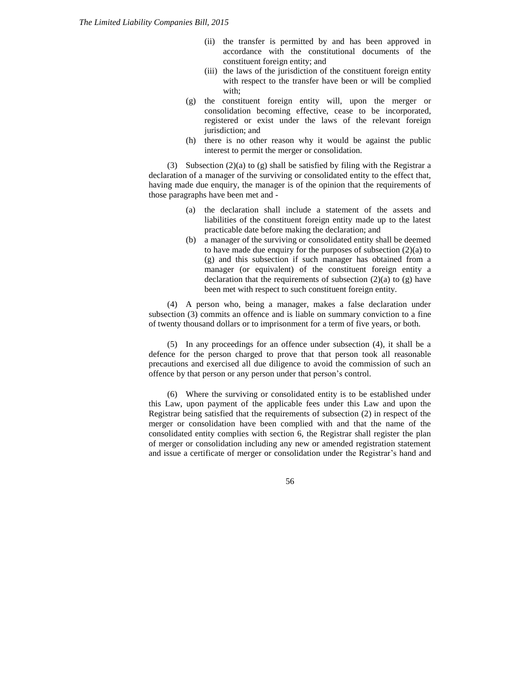- (ii) the transfer is permitted by and has been approved in accordance with the constitutional documents of the constituent foreign entity; and
- (iii) the laws of the jurisdiction of the constituent foreign entity with respect to the transfer have been or will be complied with;
- (g) the constituent foreign entity will, upon the merger or consolidation becoming effective, cease to be incorporated, registered or exist under the laws of the relevant foreign jurisdiction; and
- (h) there is no other reason why it would be against the public interest to permit the merger or consolidation.

(3) Subsection (2)(a) to (g) shall be satisfied by filing with the Registrar a declaration of a manager of the surviving or consolidated entity to the effect that, having made due enquiry, the manager is of the opinion that the requirements of those paragraphs have been met and -

- (a) the declaration shall include a statement of the assets and liabilities of the constituent foreign entity made up to the latest practicable date before making the declaration; and
- (b) a manager of the surviving or consolidated entity shall be deemed to have made due enquiry for the purposes of subsection (2)(a) to (g) and this subsection if such manager has obtained from a manager (or equivalent) of the constituent foreign entity a declaration that the requirements of subsection  $(2)(a)$  to  $(g)$  have been met with respect to such constituent foreign entity.

(4) A person who, being a manager, makes a false declaration under subsection (3) commits an offence and is liable on summary conviction to a fine of twenty thousand dollars or to imprisonment for a term of five years, or both.

(5) In any proceedings for an offence under subsection (4), it shall be a defence for the person charged to prove that that person took all reasonable precautions and exercised all due diligence to avoid the commission of such an offence by that person or any person under that person's control.

(6) Where the surviving or consolidated entity is to be established under this Law, upon payment of the applicable fees under this Law and upon the Registrar being satisfied that the requirements of subsection (2) in respect of the merger or consolidation have been complied with and that the name of the consolidated entity complies with section 6, the Registrar shall register the plan of merger or consolidation including any new or amended registration statement and issue a certificate of merger or consolidation under the Registrar's hand and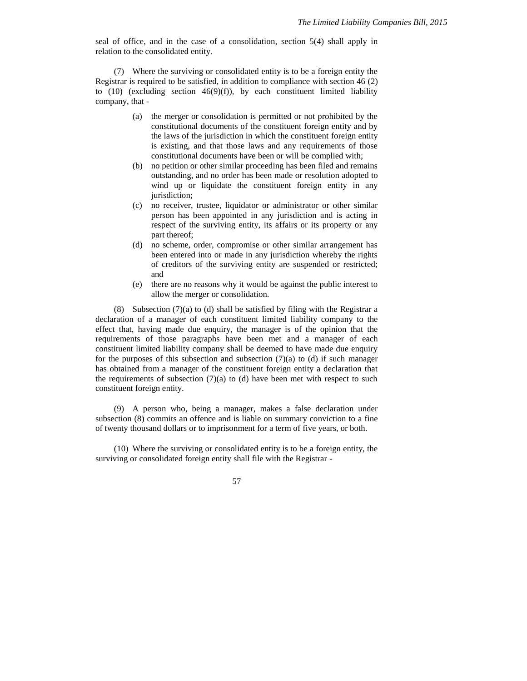seal of office, and in the case of a consolidation, section 5(4) shall apply in relation to the consolidated entity.

(7) Where the surviving or consolidated entity is to be a foreign entity the Registrar is required to be satisfied, in addition to compliance with section 46 (2) to  $(10)$  (excluding section  $46(9)(f)$ ), by each constituent limited liability company, that -

- (a) the merger or consolidation is permitted or not prohibited by the constitutional documents of the constituent foreign entity and by the laws of the jurisdiction in which the constituent foreign entity is existing, and that those laws and any requirements of those constitutional documents have been or will be complied with;
- (b) no petition or other similar proceeding has been filed and remains outstanding, and no order has been made or resolution adopted to wind up or liquidate the constituent foreign entity in any jurisdiction;
- (c) no receiver, trustee, liquidator or administrator or other similar person has been appointed in any jurisdiction and is acting in respect of the surviving entity, its affairs or its property or any part thereof;
- (d) no scheme, order, compromise or other similar arrangement has been entered into or made in any jurisdiction whereby the rights of creditors of the surviving entity are suspended or restricted; and
- (e) there are no reasons why it would be against the public interest to allow the merger or consolidation.

(8) Subsection  $(7)(a)$  to (d) shall be satisfied by filing with the Registrar a declaration of a manager of each constituent limited liability company to the effect that, having made due enquiry, the manager is of the opinion that the requirements of those paragraphs have been met and a manager of each constituent limited liability company shall be deemed to have made due enquiry for the purposes of this subsection and subsection  $(7)(a)$  to  $(d)$  if such manager has obtained from a manager of the constituent foreign entity a declaration that the requirements of subsection  $(7)(a)$  to  $(d)$  have been met with respect to such constituent foreign entity.

(9) A person who, being a manager, makes a false declaration under subsection (8) commits an offence and is liable on summary conviction to a fine of twenty thousand dollars or to imprisonment for a term of five years, or both.

(10) Where the surviving or consolidated entity is to be a foreign entity, the surviving or consolidated foreign entity shall file with the Registrar -

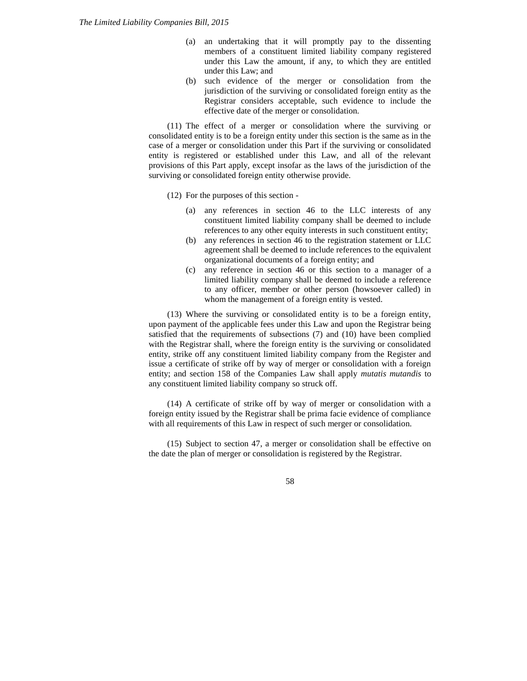- (a) an undertaking that it will promptly pay to the dissenting members of a constituent limited liability company registered under this Law the amount, if any, to which they are entitled under this Law; and
- (b) such evidence of the merger or consolidation from the jurisdiction of the surviving or consolidated foreign entity as the Registrar considers acceptable, such evidence to include the effective date of the merger or consolidation.

(11) The effect of a merger or consolidation where the surviving or consolidated entity is to be a foreign entity under this section is the same as in the case of a merger or consolidation under this Part if the surviving or consolidated entity is registered or established under this Law, and all of the relevant provisions of this Part apply, except insofar as the laws of the jurisdiction of the surviving or consolidated foreign entity otherwise provide.

- (12) For the purposes of this section
	- (a) any references in section 46 to the LLC interests of any constituent limited liability company shall be deemed to include references to any other equity interests in such constituent entity;
	- (b) any references in section 46 to the registration statement or LLC agreement shall be deemed to include references to the equivalent organizational documents of a foreign entity; and
	- (c) any reference in section 46 or this section to a manager of a limited liability company shall be deemed to include a reference to any officer, member or other person (howsoever called) in whom the management of a foreign entity is vested.

(13) Where the surviving or consolidated entity is to be a foreign entity, upon payment of the applicable fees under this Law and upon the Registrar being satisfied that the requirements of subsections (7) and (10) have been complied with the Registrar shall, where the foreign entity is the surviving or consolidated entity, strike off any constituent limited liability company from the Register and issue a certificate of strike off by way of merger or consolidation with a foreign entity; and section 158 of the Companies Law shall apply *mutatis mutandis* to any constituent limited liability company so struck off.

(14) A certificate of strike off by way of merger or consolidation with a foreign entity issued by the Registrar shall be prima facie evidence of compliance with all requirements of this Law in respect of such merger or consolidation.

(15) Subject to section 47, a merger or consolidation shall be effective on the date the plan of merger or consolidation is registered by the Registrar.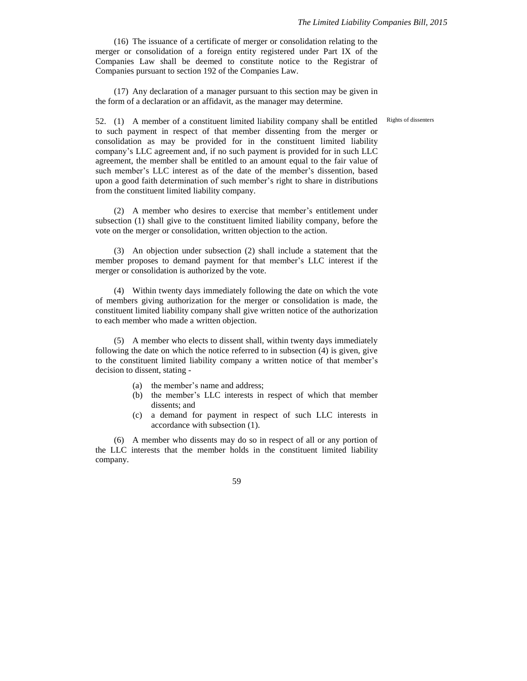(16) The issuance of a certificate of merger or consolidation relating to the merger or consolidation of a foreign entity registered under Part IX of the Companies Law shall be deemed to constitute notice to the Registrar of Companies pursuant to section 192 of the Companies Law.

(17) Any declaration of a manager pursuant to this section may be given in the form of a declaration or an affidavit, as the manager may determine.

Rights of dissenters

52. (1) A member of a constituent limited liability company shall be entitled to such payment in respect of that member dissenting from the merger or consolidation as may be provided for in the constituent limited liability company's LLC agreement and, if no such payment is provided for in such LLC agreement, the member shall be entitled to an amount equal to the fair value of such member's LLC interest as of the date of the member's dissention, based upon a good faith determination of such member's right to share in distributions from the constituent limited liability company.

(2) A member who desires to exercise that member's entitlement under subsection (1) shall give to the constituent limited liability company, before the vote on the merger or consolidation, written objection to the action.

(3) An objection under subsection (2) shall include a statement that the member proposes to demand payment for that member's LLC interest if the merger or consolidation is authorized by the vote.

(4) Within twenty days immediately following the date on which the vote of members giving authorization for the merger or consolidation is made, the constituent limited liability company shall give written notice of the authorization to each member who made a written objection.

(5) A member who elects to dissent shall, within twenty days immediately following the date on which the notice referred to in subsection (4) is given, give to the constituent limited liability company a written notice of that member's decision to dissent, stating -

- (a) the member's name and address;
- (b) the member's LLC interests in respect of which that member dissents; and
- (c) a demand for payment in respect of such LLC interests in accordance with subsection (1).

(6) A member who dissents may do so in respect of all or any portion of the LLC interests that the member holds in the constituent limited liability company.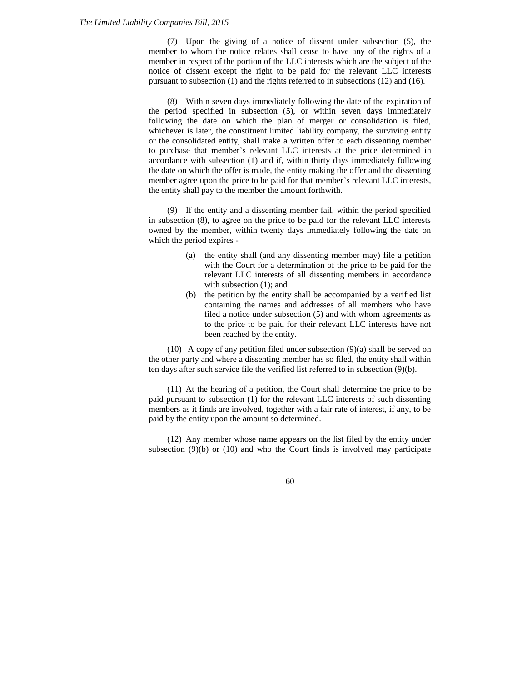(7) Upon the giving of a notice of dissent under subsection (5), the member to whom the notice relates shall cease to have any of the rights of a member in respect of the portion of the LLC interests which are the subject of the notice of dissent except the right to be paid for the relevant LLC interests pursuant to subsection (1) and the rights referred to in subsections (12) and (16).

(8) Within seven days immediately following the date of the expiration of the period specified in subsection (5), or within seven days immediately following the date on which the plan of merger or consolidation is filed, whichever is later, the constituent limited liability company, the surviving entity or the consolidated entity, shall make a written offer to each dissenting member to purchase that member's relevant LLC interests at the price determined in accordance with subsection (1) and if, within thirty days immediately following the date on which the offer is made, the entity making the offer and the dissenting member agree upon the price to be paid for that member's relevant LLC interests, the entity shall pay to the member the amount forthwith.

(9) If the entity and a dissenting member fail, within the period specified in subsection (8), to agree on the price to be paid for the relevant LLC interests owned by the member, within twenty days immediately following the date on which the period expires -

- (a) the entity shall (and any dissenting member may) file a petition with the Court for a determination of the price to be paid for the relevant LLC interests of all dissenting members in accordance with subsection (1); and
- (b) the petition by the entity shall be accompanied by a verified list containing the names and addresses of all members who have filed a notice under subsection (5) and with whom agreements as to the price to be paid for their relevant LLC interests have not been reached by the entity.

(10) A copy of any petition filed under subsection (9)(a) shall be served on the other party and where a dissenting member has so filed, the entity shall within ten days after such service file the verified list referred to in subsection (9)(b).

(11) At the hearing of a petition, the Court shall determine the price to be paid pursuant to subsection (1) for the relevant LLC interests of such dissenting members as it finds are involved, together with a fair rate of interest, if any, to be paid by the entity upon the amount so determined.

(12) Any member whose name appears on the list filed by the entity under subsection  $(9)(b)$  or  $(10)$  and who the Court finds is involved may participate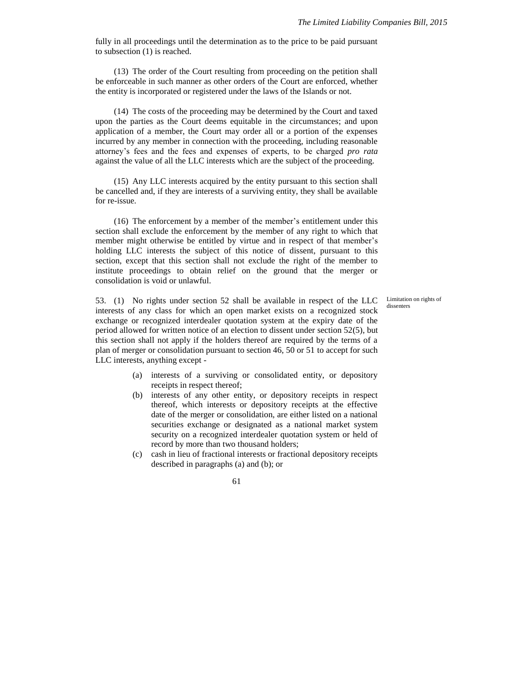fully in all proceedings until the determination as to the price to be paid pursuant to subsection (1) is reached.

(13) The order of the Court resulting from proceeding on the petition shall be enforceable in such manner as other orders of the Court are enforced, whether the entity is incorporated or registered under the laws of the Islands or not.

(14) The costs of the proceeding may be determined by the Court and taxed upon the parties as the Court deems equitable in the circumstances; and upon application of a member, the Court may order all or a portion of the expenses incurred by any member in connection with the proceeding, including reasonable attorney's fees and the fees and expenses of experts, to be charged *pro rata* against the value of all the LLC interests which are the subject of the proceeding.

(15) Any LLC interests acquired by the entity pursuant to this section shall be cancelled and, if they are interests of a surviving entity, they shall be available for re-issue.

(16) The enforcement by a member of the member's entitlement under this section shall exclude the enforcement by the member of any right to which that member might otherwise be entitled by virtue and in respect of that member's holding LLC interests the subject of this notice of dissent, pursuant to this section, except that this section shall not exclude the right of the member to institute proceedings to obtain relief on the ground that the merger or consolidation is void or unlawful.

> Limitation on rights of dissenters

53. (1) No rights under section 52 shall be available in respect of the LLC interests of any class for which an open market exists on a recognized stock exchange or recognized interdealer quotation system at the expiry date of the period allowed for written notice of an election to dissent under section 52(5), but this section shall not apply if the holders thereof are required by the terms of a plan of merger or consolidation pursuant to section 46, 50 or 51 to accept for such LLC interests, anything except -

- (a) interests of a surviving or consolidated entity, or depository receipts in respect thereof;
- (b) interests of any other entity, or depository receipts in respect thereof, which interests or depository receipts at the effective date of the merger or consolidation, are either listed on a national securities exchange or designated as a national market system security on a recognized interdealer quotation system or held of record by more than two thousand holders;
- (c) cash in lieu of fractional interests or fractional depository receipts described in paragraphs (a) and (b); or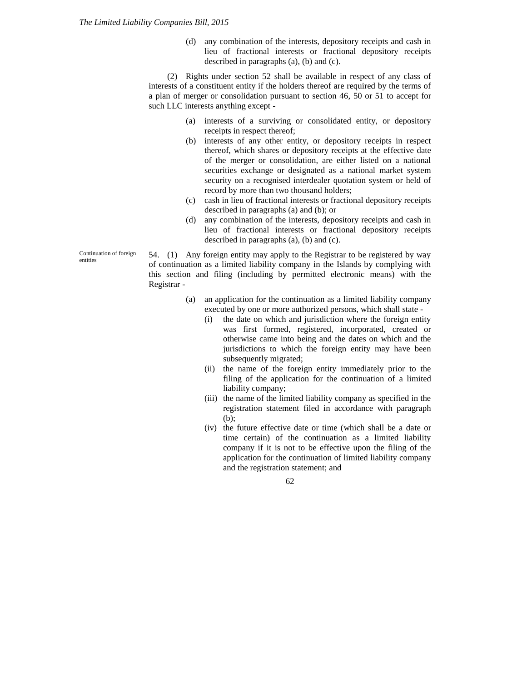(d) any combination of the interests, depository receipts and cash in lieu of fractional interests or fractional depository receipts described in paragraphs (a), (b) and (c).

(2) Rights under section 52 shall be available in respect of any class of interests of a constituent entity if the holders thereof are required by the terms of a plan of merger or consolidation pursuant to section 46, 50 or 51 to accept for such LLC interests anything except -

- (a) interests of a surviving or consolidated entity, or depository receipts in respect thereof;
- (b) interests of any other entity, or depository receipts in respect thereof, which shares or depository receipts at the effective date of the merger or consolidation, are either listed on a national securities exchange or designated as a national market system security on a recognised interdealer quotation system or held of record by more than two thousand holders;
- (c) cash in lieu of fractional interests or fractional depository receipts described in paragraphs (a) and (b); or
- (d) any combination of the interests, depository receipts and cash in lieu of fractional interests or fractional depository receipts described in paragraphs (a), (b) and (c).

54. (1) Any foreign entity may apply to the Registrar to be registered by way of continuation as a limited liability company in the Islands by complying with this section and filing (including by permitted electronic means) with the Registrar -

- (a) an application for the continuation as a limited liability company executed by one or more authorized persons, which shall state -
	- (i) the date on which and jurisdiction where the foreign entity was first formed, registered, incorporated, created or otherwise came into being and the dates on which and the jurisdictions to which the foreign entity may have been subsequently migrated;
	- (ii) the name of the foreign entity immediately prior to the filing of the application for the continuation of a limited liability company;
	- (iii) the name of the limited liability company as specified in the registration statement filed in accordance with paragraph (b);
	- (iv) the future effective date or time (which shall be a date or time certain) of the continuation as a limited liability company if it is not to be effective upon the filing of the application for the continuation of limited liability company and the registration statement; and

62

Continuation of foreign entities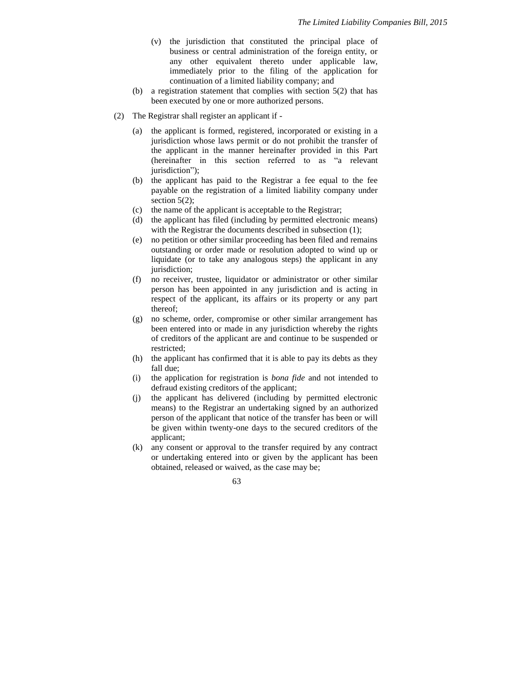- (v) the jurisdiction that constituted the principal place of business or central administration of the foreign entity, or any other equivalent thereto under applicable law, immediately prior to the filing of the application for continuation of a limited liability company; and
- (b) a registration statement that complies with section 5(2) that has been executed by one or more authorized persons.
- (2) The Registrar shall register an applicant if
	- (a) the applicant is formed, registered, incorporated or existing in a jurisdiction whose laws permit or do not prohibit the transfer of the applicant in the manner hereinafter provided in this Part (hereinafter in this section referred to as "a relevant jurisdiction");
	- (b) the applicant has paid to the Registrar a fee equal to the fee payable on the registration of a limited liability company under section  $5(2)$ ;
	- (c) the name of the applicant is acceptable to the Registrar;
	- (d) the applicant has filed (including by permitted electronic means) with the Registrar the documents described in subsection (1);
	- (e) no petition or other similar proceeding has been filed and remains outstanding or order made or resolution adopted to wind up or liquidate (or to take any analogous steps) the applicant in any jurisdiction;
	- (f) no receiver, trustee, liquidator or administrator or other similar person has been appointed in any jurisdiction and is acting in respect of the applicant, its affairs or its property or any part thereof;
	- (g) no scheme, order, compromise or other similar arrangement has been entered into or made in any jurisdiction whereby the rights of creditors of the applicant are and continue to be suspended or restricted;
	- (h) the applicant has confirmed that it is able to pay its debts as they fall due;
	- (i) the application for registration is *bona fide* and not intended to defraud existing creditors of the applicant;
	- (j) the applicant has delivered (including by permitted electronic means) to the Registrar an undertaking signed by an authorized person of the applicant that notice of the transfer has been or will be given within twenty-one days to the secured creditors of the applicant;
	- (k) any consent or approval to the transfer required by any contract or undertaking entered into or given by the applicant has been obtained, released or waived, as the case may be;

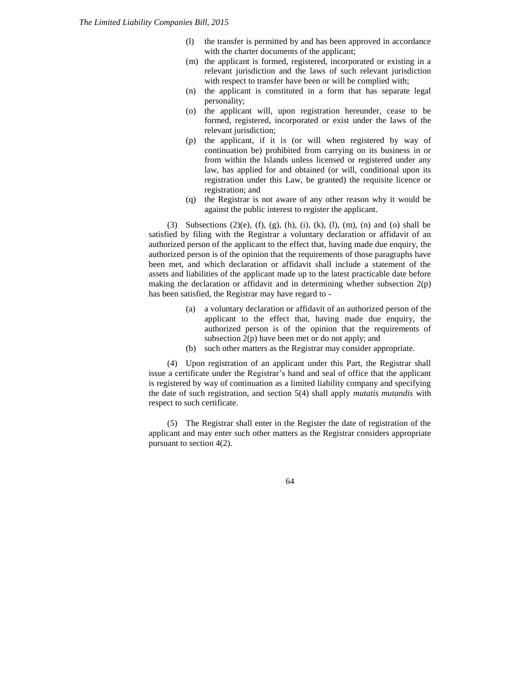- (l) the transfer is permitted by and has been approved in accordance with the charter documents of the applicant;
- (m) the applicant is formed, registered, incorporated or existing in a relevant jurisdiction and the laws of such relevant jurisdiction with respect to transfer have been or will be complied with;
- (n) the applicant is constituted in a form that has separate legal personality;
- (o) the applicant will, upon registration hereunder, cease to be formed, registered, incorporated or exist under the laws of the relevant jurisdiction;
- (p) the applicant, if it is (or will when registered by way of continuation be) prohibited from carrying on its business in or from within the Islands unless licensed or registered under any law, has applied for and obtained (or will, conditional upon its registration under this Law, be granted) the requisite licence or registration; and
- (q) the Registrar is not aware of any other reason why it would be against the public interest to register the applicant.

(3) Subsections  $(2)(e)$ ,  $(f)$ ,  $(g)$ ,  $(h)$ ,  $(i)$ ,  $(k)$ ,  $(l)$ ,  $(m)$ ,  $(n)$  and  $(o)$  shall be satisfied by filing with the Registrar a voluntary declaration or affidavit of an authorized person of the applicant to the effect that, having made due enquiry, the authorized person is of the opinion that the requirements of those paragraphs have been met, and which declaration or affidavit shall include a statement of the assets and liabilities of the applicant made up to the latest practicable date before making the declaration or affidavit and in determining whether subsection 2(p) has been satisfied, the Registrar may have regard to -

- (a) a voluntary declaration or affidavit of an authorized person of the applicant to the effect that, having made due enquiry, the authorized person is of the opinion that the requirements of subsection 2(p) have been met or do not apply; and
- (b) such other matters as the Registrar may consider appropriate.

(4) Upon registration of an applicant under this Part, the Registrar shall issue a certificate under the Registrar's hand and seal of office that the applicant is registered by way of continuation as a limited liability company and specifying the date of such registration, and section 5(4) shall apply *mutatis mutandis* with respect to such certificate.

(5) The Registrar shall enter in the Register the date of registration of the applicant and may enter such other matters as the Registrar considers appropriate pursuant to section 4(2).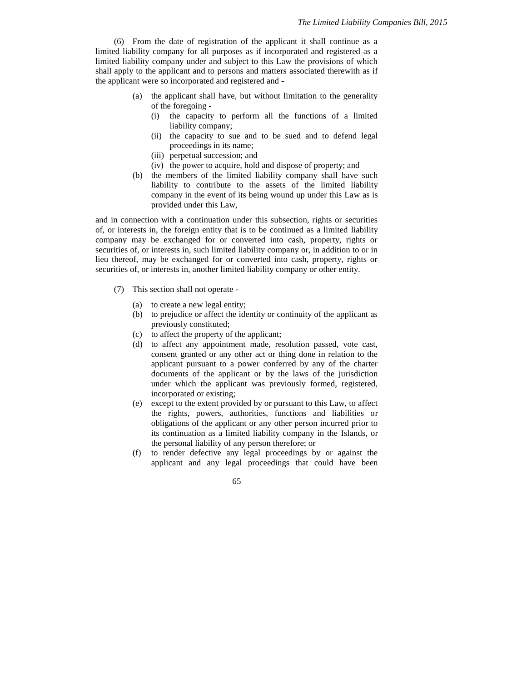(6) From the date of registration of the applicant it shall continue as a limited liability company for all purposes as if incorporated and registered as a limited liability company under and subject to this Law the provisions of which shall apply to the applicant and to persons and matters associated therewith as if the applicant were so incorporated and registered and -

- (a) the applicant shall have, but without limitation to the generality of the foregoing -
	- (i) the capacity to perform all the functions of a limited liability company;
	- (ii) the capacity to sue and to be sued and to defend legal proceedings in its name;
	- (iii) perpetual succession; and
	- (iv) the power to acquire, hold and dispose of property; and
- (b) the members of the limited liability company shall have such liability to contribute to the assets of the limited liability company in the event of its being wound up under this Law as is provided under this Law,

and in connection with a continuation under this subsection, rights or securities of, or interests in, the foreign entity that is to be continued as a limited liability company may be exchanged for or converted into cash, property, rights or securities of, or interests in, such limited liability company or, in addition to or in lieu thereof, may be exchanged for or converted into cash, property, rights or securities of, or interests in, another limited liability company or other entity.

- (7) This section shall not operate
	- (a) to create a new legal entity;
	- (b) to prejudice or affect the identity or continuity of the applicant as previously constituted;
	- (c) to affect the property of the applicant;
	- (d) to affect any appointment made, resolution passed, vote cast, consent granted or any other act or thing done in relation to the applicant pursuant to a power conferred by any of the charter documents of the applicant or by the laws of the jurisdiction under which the applicant was previously formed, registered, incorporated or existing;
	- (e) except to the extent provided by or pursuant to this Law, to affect the rights, powers, authorities, functions and liabilities or obligations of the applicant or any other person incurred prior to its continuation as a limited liability company in the Islands, or the personal liability of any person therefore; or
	- (f) to render defective any legal proceedings by or against the applicant and any legal proceedings that could have been

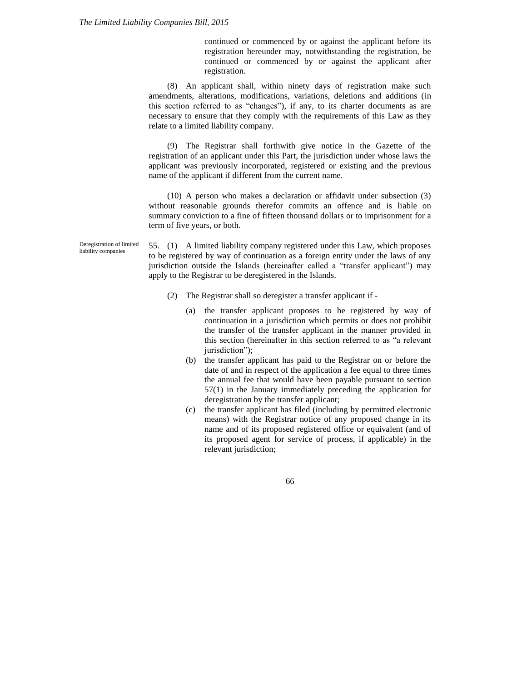continued or commenced by or against the applicant before its registration hereunder may, notwithstanding the registration, be continued or commenced by or against the applicant after registration.

(8) An applicant shall, within ninety days of registration make such amendments, alterations, modifications, variations, deletions and additions (in this section referred to as "changes"), if any, to its charter documents as are necessary to ensure that they comply with the requirements of this Law as they relate to a limited liability company.

(9) The Registrar shall forthwith give notice in the Gazette of the registration of an applicant under this Part, the jurisdiction under whose laws the applicant was previously incorporated, registered or existing and the previous name of the applicant if different from the current name.

(10) A person who makes a declaration or affidavit under subsection (3) without reasonable grounds therefor commits an offence and is liable on summary conviction to a fine of fifteen thousand dollars or to imprisonment for a term of five years, or both.

55. (1) A limited liability company registered under this Law, which proposes to be registered by way of continuation as a foreign entity under the laws of any jurisdiction outside the Islands (hereinafter called a "transfer applicant") may apply to the Registrar to be deregistered in the Islands. Deregistration of limited liability companies

- (2) The Registrar shall so deregister a transfer applicant if
	- (a) the transfer applicant proposes to be registered by way of continuation in a jurisdiction which permits or does not prohibit the transfer of the transfer applicant in the manner provided in this section (hereinafter in this section referred to as "a relevant jurisdiction");
	- (b) the transfer applicant has paid to the Registrar on or before the date of and in respect of the application a fee equal to three times the annual fee that would have been payable pursuant to section 57(1) in the January immediately preceding the application for deregistration by the transfer applicant;
	- (c) the transfer applicant has filed (including by permitted electronic means) with the Registrar notice of any proposed change in its name and of its proposed registered office or equivalent (and of its proposed agent for service of process, if applicable) in the relevant jurisdiction;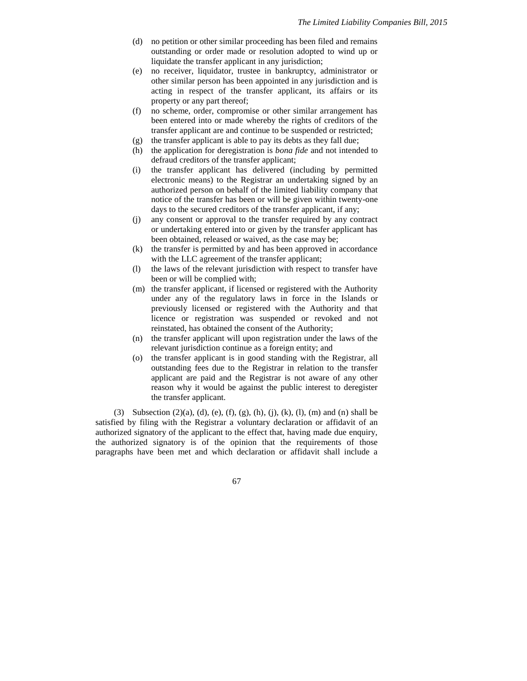- (d) no petition or other similar proceeding has been filed and remains outstanding or order made or resolution adopted to wind up or liquidate the transfer applicant in any jurisdiction;
- (e) no receiver, liquidator, trustee in bankruptcy, administrator or other similar person has been appointed in any jurisdiction and is acting in respect of the transfer applicant, its affairs or its property or any part thereof;
- (f) no scheme, order, compromise or other similar arrangement has been entered into or made whereby the rights of creditors of the transfer applicant are and continue to be suspended or restricted;
- (g) the transfer applicant is able to pay its debts as they fall due;
- (h) the application for deregistration is *bona fide* and not intended to defraud creditors of the transfer applicant;
- (i) the transfer applicant has delivered (including by permitted electronic means) to the Registrar an undertaking signed by an authorized person on behalf of the limited liability company that notice of the transfer has been or will be given within twenty-one days to the secured creditors of the transfer applicant, if any;
- (j) any consent or approval to the transfer required by any contract or undertaking entered into or given by the transfer applicant has been obtained, released or waived, as the case may be;
- (k) the transfer is permitted by and has been approved in accordance with the LLC agreement of the transfer applicant;
- (l) the laws of the relevant jurisdiction with respect to transfer have been or will be complied with;
- (m) the transfer applicant, if licensed or registered with the Authority under any of the regulatory laws in force in the Islands or previously licensed or registered with the Authority and that licence or registration was suspended or revoked and not reinstated, has obtained the consent of the Authority;
- (n) the transfer applicant will upon registration under the laws of the relevant jurisdiction continue as a foreign entity; and
- (o) the transfer applicant is in good standing with the Registrar, all outstanding fees due to the Registrar in relation to the transfer applicant are paid and the Registrar is not aware of any other reason why it would be against the public interest to deregister the transfer applicant.

(3) Subsection  $(2)(a)$ ,  $(d)$ ,  $(e)$ ,  $(f)$ ,  $(g)$ ,  $(h)$ ,  $(i)$ ,  $(k)$ ,  $(l)$ ,  $(m)$  and  $(n)$  shall be satisfied by filing with the Registrar a voluntary declaration or affidavit of an authorized signatory of the applicant to the effect that, having made due enquiry, the authorized signatory is of the opinion that the requirements of those paragraphs have been met and which declaration or affidavit shall include a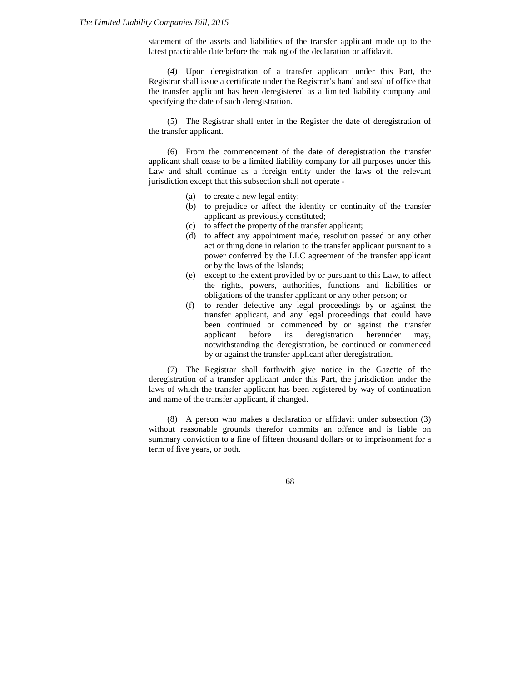statement of the assets and liabilities of the transfer applicant made up to the latest practicable date before the making of the declaration or affidavit.

(4) Upon deregistration of a transfer applicant under this Part, the Registrar shall issue a certificate under the Registrar's hand and seal of office that the transfer applicant has been deregistered as a limited liability company and specifying the date of such deregistration.

(5) The Registrar shall enter in the Register the date of deregistration of the transfer applicant.

(6) From the commencement of the date of deregistration the transfer applicant shall cease to be a limited liability company for all purposes under this Law and shall continue as a foreign entity under the laws of the relevant jurisdiction except that this subsection shall not operate -

- (a) to create a new legal entity;
- (b) to prejudice or affect the identity or continuity of the transfer applicant as previously constituted;
- (c) to affect the property of the transfer applicant;
- (d) to affect any appointment made, resolution passed or any other act or thing done in relation to the transfer applicant pursuant to a power conferred by the LLC agreement of the transfer applicant or by the laws of the Islands;
- (e) except to the extent provided by or pursuant to this Law, to affect the rights, powers, authorities, functions and liabilities or obligations of the transfer applicant or any other person; or
- (f) to render defective any legal proceedings by or against the transfer applicant, and any legal proceedings that could have been continued or commenced by or against the transfer applicant before its deregistration hereunder may, notwithstanding the deregistration, be continued or commenced by or against the transfer applicant after deregistration.

(7) The Registrar shall forthwith give notice in the Gazette of the deregistration of a transfer applicant under this Part, the jurisdiction under the laws of which the transfer applicant has been registered by way of continuation and name of the transfer applicant, if changed.

(8) A person who makes a declaration or affidavit under subsection (3) without reasonable grounds therefor commits an offence and is liable on summary conviction to a fine of fifteen thousand dollars or to imprisonment for a term of five years, or both.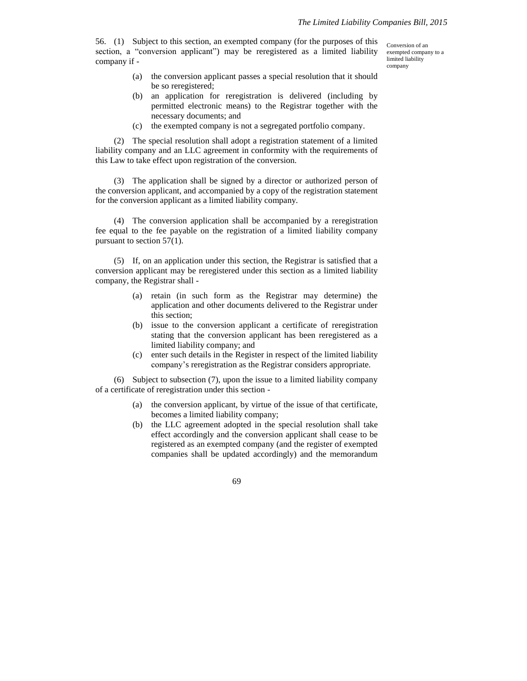56. (1) Subject to this section, an exempted company (for the purposes of this section, a "conversion applicant") may be reregistered as a limited liability company if -

Conversion of an exempted company to a limited liability company

- (a) the conversion applicant passes a special resolution that it should be so reregistered;
- (b) an application for reregistration is delivered (including by permitted electronic means) to the Registrar together with the necessary documents; and
- (c) the exempted company is not a segregated portfolio company.

(2) The special resolution shall adopt a registration statement of a limited liability company and an LLC agreement in conformity with the requirements of this Law to take effect upon registration of the conversion.

(3) The application shall be signed by a director or authorized person of the conversion applicant, and accompanied by a copy of the registration statement for the conversion applicant as a limited liability company.

(4) The conversion application shall be accompanied by a reregistration fee equal to the fee payable on the registration of a limited liability company pursuant to section 57(1).

(5) If, on an application under this section, the Registrar is satisfied that a conversion applicant may be reregistered under this section as a limited liability company, the Registrar shall -

- (a) retain (in such form as the Registrar may determine) the application and other documents delivered to the Registrar under this section;
- (b) issue to the conversion applicant a certificate of reregistration stating that the conversion applicant has been reregistered as a limited liability company; and
- (c) enter such details in the Register in respect of the limited liability company's reregistration as the Registrar considers appropriate.

(6) Subject to subsection (7), upon the issue to a limited liability company of a certificate of reregistration under this section -

- (a) the conversion applicant, by virtue of the issue of that certificate, becomes a limited liability company;
- (b) the LLC agreement adopted in the special resolution shall take effect accordingly and the conversion applicant shall cease to be registered as an exempted company (and the register of exempted companies shall be updated accordingly) and the memorandum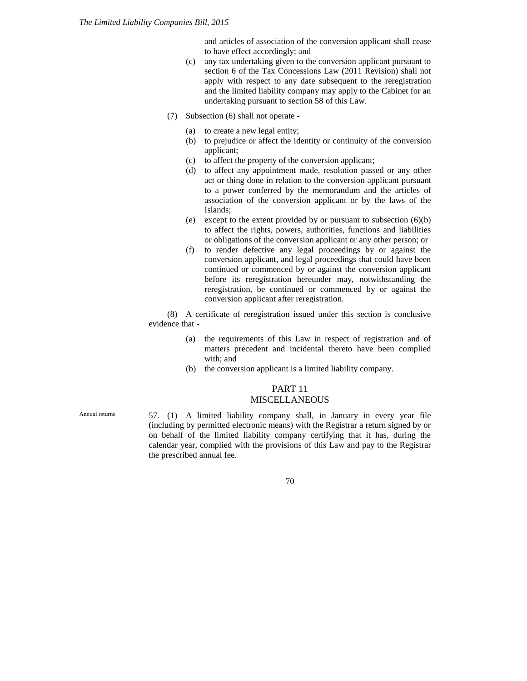and articles of association of the conversion applicant shall cease to have effect accordingly; and

- (c) any tax undertaking given to the conversion applicant pursuant to section 6 of the Tax Concessions Law (2011 Revision) shall not apply with respect to any date subsequent to the reregistration and the limited liability company may apply to the Cabinet for an undertaking pursuant to section 58 of this Law.
- (7) Subsection (6) shall not operate
	- (a) to create a new legal entity;
	- (b) to prejudice or affect the identity or continuity of the conversion applicant;
	- (c) to affect the property of the conversion applicant;
	- (d) to affect any appointment made, resolution passed or any other act or thing done in relation to the conversion applicant pursuant to a power conferred by the memorandum and the articles of association of the conversion applicant or by the laws of the Islands;
	- (e) except to the extent provided by or pursuant to subsection (6)(b) to affect the rights, powers, authorities, functions and liabilities or obligations of the conversion applicant or any other person; or
	- (f) to render defective any legal proceedings by or against the conversion applicant, and legal proceedings that could have been continued or commenced by or against the conversion applicant before its reregistration hereunder may, notwithstanding the reregistration, be continued or commenced by or against the conversion applicant after reregistration.

(8) A certificate of reregistration issued under this section is conclusive evidence that -

- (a) the requirements of this Law in respect of registration and of matters precedent and incidental thereto have been complied with; and
- (b) the conversion applicant is a limited liability company.

#### PART 11 MISCELLANEOUS

57. (1) A limited liability company shall, in January in every year file (including by permitted electronic means) with the Registrar a return signed by or on behalf of the limited liability company certifying that it has, during the calendar year, complied with the provisions of this Law and pay to the Registrar the prescribed annual fee.

Annual returns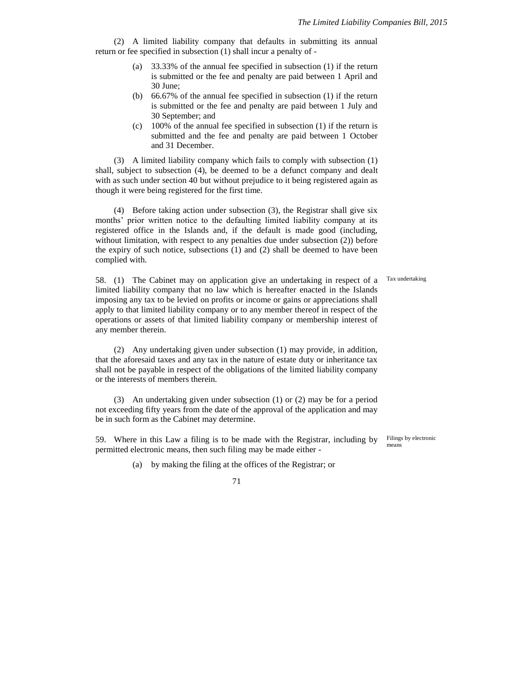(2) A limited liability company that defaults in submitting its annual return or fee specified in subsection (1) shall incur a penalty of -

- (a) 33.33% of the annual fee specified in subsection (1) if the return is submitted or the fee and penalty are paid between 1 April and 30 June;
- (b) 66.67% of the annual fee specified in subsection (1) if the return is submitted or the fee and penalty are paid between 1 July and 30 September; and
- (c) 100% of the annual fee specified in subsection (1) if the return is submitted and the fee and penalty are paid between 1 October and 31 December.

(3) A limited liability company which fails to comply with subsection (1) shall, subject to subsection (4), be deemed to be a defunct company and dealt with as such under section 40 but without prejudice to it being registered again as though it were being registered for the first time.

(4) Before taking action under subsection (3), the Registrar shall give six months' prior written notice to the defaulting limited liability company at its registered office in the Islands and, if the default is made good (including, without limitation, with respect to any penalties due under subsection (2)) before the expiry of such notice, subsections (1) and (2) shall be deemed to have been complied with.

Tax undertaking

58. (1) The Cabinet may on application give an undertaking in respect of a limited liability company that no law which is hereafter enacted in the Islands imposing any tax to be levied on profits or income or gains or appreciations shall apply to that limited liability company or to any member thereof in respect of the operations or assets of that limited liability company or membership interest of any member therein.

(2) Any undertaking given under subsection (1) may provide, in addition, that the aforesaid taxes and any tax in the nature of estate duty or inheritance tax shall not be payable in respect of the obligations of the limited liability company or the interests of members therein.

(3) An undertaking given under subsection (1) or (2) may be for a period not exceeding fifty years from the date of the approval of the application and may be in such form as the Cabinet may determine.

59. Where in this Law a filing is to be made with the Registrar, including by permitted electronic means, then such filing may be made either -

(a) by making the filing at the offices of the Registrar; or

71

Filings by electronic means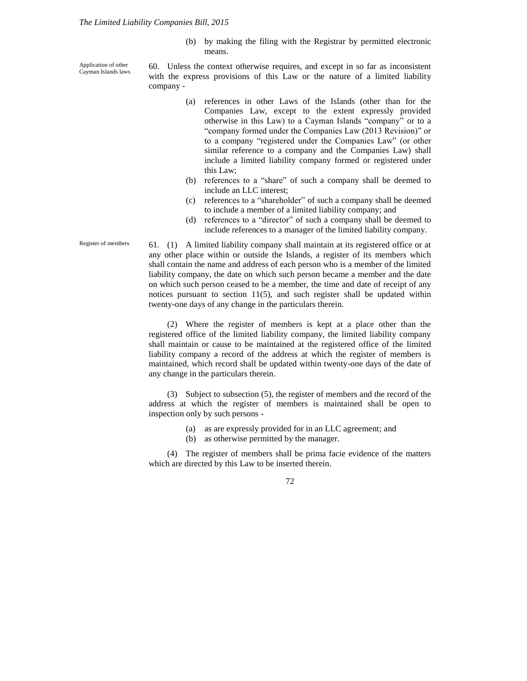(b) by making the filing with the Registrar by permitted electronic means.

Application of other Cayman Islands laws 60. Unless the context otherwise requires, and except in so far as inconsistent with the express provisions of this Law or the nature of a limited liability company -

- (a) references in other Laws of the Islands (other than for the Companies Law, except to the extent expressly provided otherwise in this Law) to a Cayman Islands "company" or to a "company formed under the Companies Law (2013 Revision)" or to a company "registered under the Companies Law" (or other similar reference to a company and the Companies Law) shall include a limited liability company formed or registered under this Law;
- (b) references to a "share" of such a company shall be deemed to include an LLC interest;
- (c) references to a "shareholder" of such a company shall be deemed to include a member of a limited liability company; and
- (d) references to a "director" of such a company shall be deemed to include references to a manager of the limited liability company.

61. (1) A limited liability company shall maintain at its registered office or at any other place within or outside the Islands, a register of its members which shall contain the name and address of each person who is a member of the limited liability company, the date on which such person became a member and the date on which such person ceased to be a member, the time and date of receipt of any notices pursuant to section  $11(5)$ , and such register shall be updated within twenty-one days of any change in the particulars therein.

(2) Where the register of members is kept at a place other than the registered office of the limited liability company, the limited liability company shall maintain or cause to be maintained at the registered office of the limited liability company a record of the address at which the register of members is maintained, which record shall be updated within twenty-one days of the date of any change in the particulars therein.

(3) Subject to subsection (5), the register of members and the record of the address at which the register of members is maintained shall be open to inspection only by such persons -

- (a) as are expressly provided for in an LLC agreement; and
- (b) as otherwise permitted by the manager.

(4) The register of members shall be prima facie evidence of the matters which are directed by this Law to be inserted therein.

72

Register of members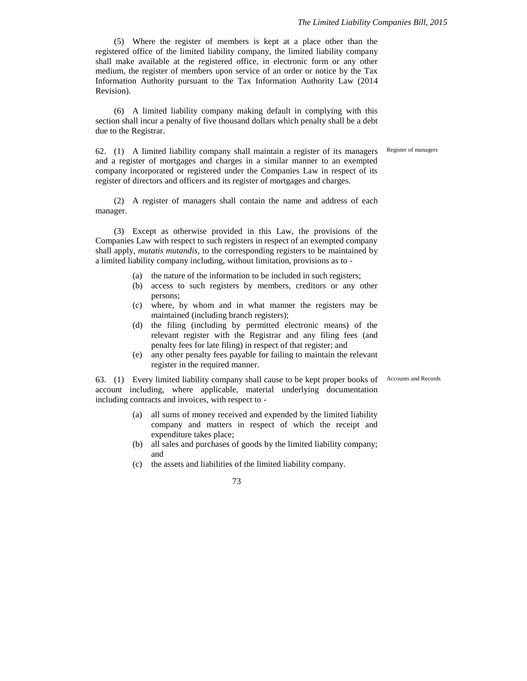(5) Where the register of members is kept at a place other than the registered office of the limited liability company, the limited liability company shall make available at the registered office, in electronic form or any other medium, the register of members upon service of an order or notice by the Tax Information Authority pursuant to the Tax Information Authority Law (2014 Revision).

(6) A limited liability company making default in complying with this section shall incur a penalty of five thousand dollars which penalty shall be a debt due to the Registrar.

62. (1) A limited liability company shall maintain a register of its managers and a register of mortgages and charges in a similar manner to an exempted company incorporated or registered under the Companies Law in respect of its register of directors and officers and its register of mortgages and charges.

(2) A register of managers shall contain the name and address of each manager.

(3) Except as otherwise provided in this Law, the provisions of the Companies Law with respect to such registers in respect of an exempted company shall apply, *mutatis mutandis*, to the corresponding registers to be maintained by a limited liability company including, without limitation, provisions as to -

- (a) the nature of the information to be included in such registers;
- (b) access to such registers by members, creditors or any other persons;
- (c) where, by whom and in what manner the registers may be maintained (including branch registers);
- (d) the filing (including by permitted electronic means) of the relevant register with the Registrar and any filing fees (and penalty fees for late filing) in respect of that register; and
- (e) any other penalty fees payable for failing to maintain the relevant register in the required manner.

Accounts and Records

63. (1) Every limited liability company shall cause to be kept proper books of account including, where applicable, material underlying documentation including contracts and invoices, with respect to -

- (a) all sums of money received and expended by the limited liability company and matters in respect of which the receipt and expenditure takes place;
- (b) all sales and purchases of goods by the limited liability company; and
- (c) the assets and liabilities of the limited liability company.

73

Register of managers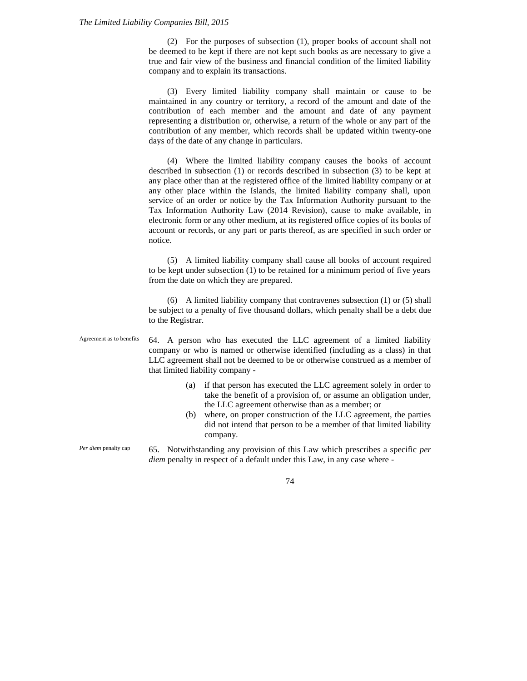(2) For the purposes of subsection (1), proper books of account shall not be deemed to be kept if there are not kept such books as are necessary to give a true and fair view of the business and financial condition of the limited liability company and to explain its transactions.

(3) Every limited liability company shall maintain or cause to be maintained in any country or territory, a record of the amount and date of the contribution of each member and the amount and date of any payment representing a distribution or, otherwise, a return of the whole or any part of the contribution of any member, which records shall be updated within twenty-one days of the date of any change in particulars.

(4) Where the limited liability company causes the books of account described in subsection (1) or records described in subsection (3) to be kept at any place other than at the registered office of the limited liability company or at any other place within the Islands, the limited liability company shall, upon service of an order or notice by the Tax Information Authority pursuant to the Tax Information Authority Law (2014 Revision), cause to make available, in electronic form or any other medium, at its registered office copies of its books of account or records, or any part or parts thereof, as are specified in such order or notice.

(5) A limited liability company shall cause all books of account required to be kept under subsection (1) to be retained for a minimum period of five years from the date on which they are prepared.

(6) A limited liability company that contravenes subsection (1) or (5) shall be subject to a penalty of five thousand dollars, which penalty shall be a debt due to the Registrar.

64. A person who has executed the LLC agreement of a limited liability company or who is named or otherwise identified (including as a class) in that LLC agreement shall not be deemed to be or otherwise construed as a member of that limited liability company - (a) if that person has executed the LLC agreement solely in order to Agreement as to benefits

- take the benefit of a provision of, or assume an obligation under, the LLC agreement otherwise than as a member; or
- (b) where, on proper construction of the LLC agreement, the parties did not intend that person to be a member of that limited liability company.
- 65. Notwithstanding any provision of this Law which prescribes a specific *per diem* penalty in respect of a default under this Law, in any case where -*Per diem* penalty cap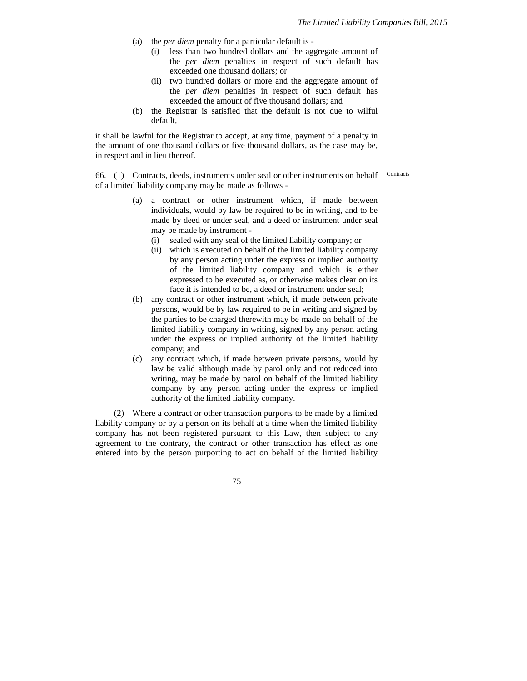- (a) the *per diem* penalty for a particular default is
	- (i) less than two hundred dollars and the aggregate amount of the *per diem* penalties in respect of such default has exceeded one thousand dollars; or
	- (ii) two hundred dollars or more and the aggregate amount of the *per diem* penalties in respect of such default has exceeded the amount of five thousand dollars; and
- (b) the Registrar is satisfied that the default is not due to wilful default,

it shall be lawful for the Registrar to accept, at any time, payment of a penalty in the amount of one thousand dollars or five thousand dollars, as the case may be, in respect and in lieu thereof.

66. (1) Contracts, deeds, instruments under seal or other instruments on behalf of a limited liability company may be made as follows -

Contracts

- (a) a contract or other instrument which, if made between individuals, would by law be required to be in writing, and to be made by deed or under seal, and a deed or instrument under seal may be made by instrument -
	- (i) sealed with any seal of the limited liability company; or
	- (ii) which is executed on behalf of the limited liability company by any person acting under the express or implied authority of the limited liability company and which is either expressed to be executed as, or otherwise makes clear on its face it is intended to be, a deed or instrument under seal;
- (b) any contract or other instrument which, if made between private persons, would be by law required to be in writing and signed by the parties to be charged therewith may be made on behalf of the limited liability company in writing, signed by any person acting under the express or implied authority of the limited liability company; and
- (c) any contract which, if made between private persons, would by law be valid although made by parol only and not reduced into writing, may be made by parol on behalf of the limited liability company by any person acting under the express or implied authority of the limited liability company.

(2) Where a contract or other transaction purports to be made by a limited liability company or by a person on its behalf at a time when the limited liability company has not been registered pursuant to this Law, then subject to any agreement to the contrary, the contract or other transaction has effect as one entered into by the person purporting to act on behalf of the limited liability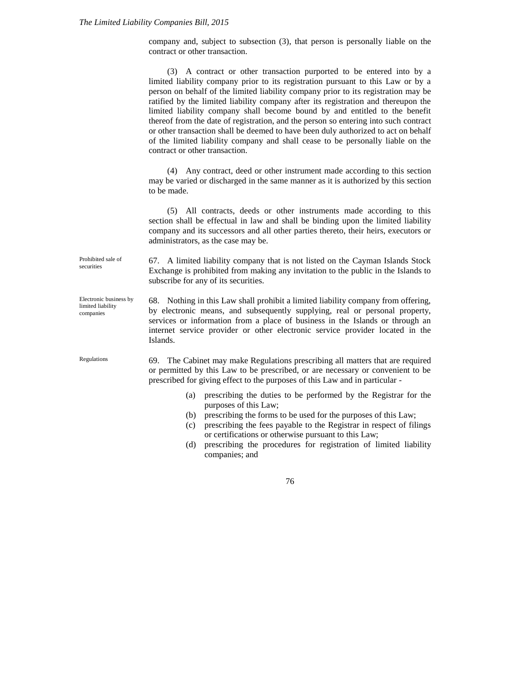companies

Regulations

company and, subject to subsection (3), that person is personally liable on the contract or other transaction.

(3) A contract or other transaction purported to be entered into by a limited liability company prior to its registration pursuant to this Law or by a person on behalf of the limited liability company prior to its registration may be ratified by the limited liability company after its registration and thereupon the limited liability company shall become bound by and entitled to the benefit thereof from the date of registration, and the person so entering into such contract or other transaction shall be deemed to have been duly authorized to act on behalf of the limited liability company and shall cease to be personally liable on the contract or other transaction.

(4) Any contract, deed or other instrument made according to this section may be varied or discharged in the same manner as it is authorized by this section to be made.

(5) All contracts, deeds or other instruments made according to this section shall be effectual in law and shall be binding upon the limited liability company and its successors and all other parties thereto, their heirs, executors or administrators, as the case may be.

67. A limited liability company that is not listed on the Cayman Islands Stock Exchange is prohibited from making any invitation to the public in the Islands to subscribe for any of its securities. Prohibited sale of securities

68. Nothing in this Law shall prohibit a limited liability company from offering, by electronic means, and subsequently supplying, real or personal property, services or information from a place of business in the Islands or through an internet service provider or other electronic service provider located in the Islands. Electronic business by limited liability

> 69. The Cabinet may make Regulations prescribing all matters that are required or permitted by this Law to be prescribed, or are necessary or convenient to be prescribed for giving effect to the purposes of this Law and in particular -

- (a) prescribing the duties to be performed by the Registrar for the purposes of this Law;
- (b) prescribing the forms to be used for the purposes of this Law;
- (c) prescribing the fees payable to the Registrar in respect of filings or certifications or otherwise pursuant to this Law;
- (d) prescribing the procedures for registration of limited liability companies; and